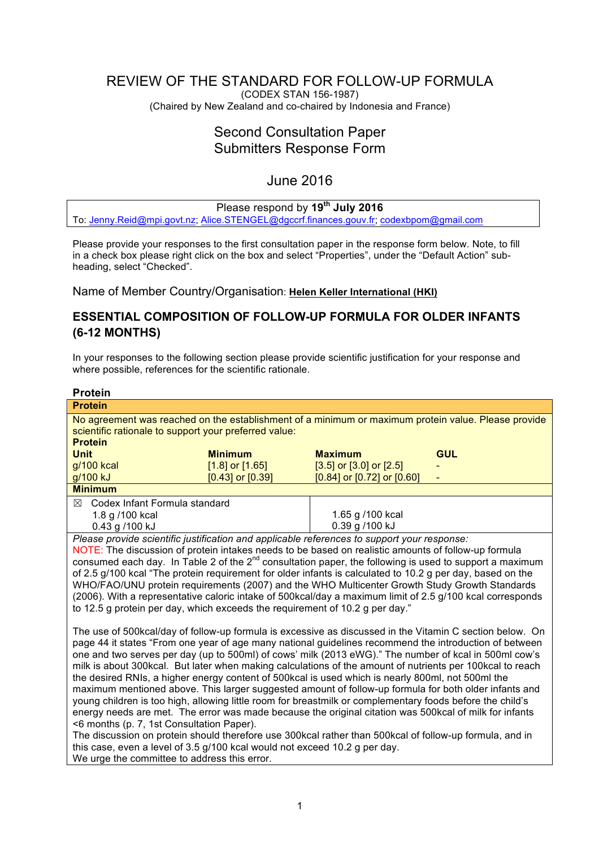# <span id="page-0-0"></span>REVIEW OF THE STANDARD FOR FOLLOW-UP FORMULA

(CODEX STAN 156-1987) (Chaired by New Zealand and co-chaired by Indonesia and France)

# Second Consultation Paper Submitters Response Form

# June 2016

# Please respond by **19th July 2016**

To: [Jenny.Reid@mpi.govt.nz](mailto:Jenny.Reid@mpi.govt.nz); [Alice.STENGEL@dgccrf.finances.gouv.fr](mailto:Alice.STENGEL@dgccrf.finances.gouv.fr); [codexbpom@gmail.com](mailto:codexbpom@gmail.com)

Please provide your responses to the first consultation paper in the response form below. Note, to fill in a check box please right click on the box and select "Properties", under the "Default Action" subheading, select "Checked".

Name of Member Country/Organisation: **Helen Keller International (HKI)**

# **ESSENTIAL COMPOSITION OF FOLLOW-UP FORMULA FOR OLDER INFANTS (6-12 MONTHS)**

In your responses to the following section please provide scientific justification for your response and where possible, references for the scientific rationale.

| <b>Protein</b>                                                                                               |                      |                                  |            |  |  |  |
|--------------------------------------------------------------------------------------------------------------|----------------------|----------------------------------|------------|--|--|--|
| <b>Protein</b>                                                                                               |                      |                                  |            |  |  |  |
| No agreement was reached on the establishment of a minimum or maximum protein value. Please provide          |                      |                                  |            |  |  |  |
| scientific rationale to support your preferred value:                                                        |                      |                                  |            |  |  |  |
| <b>Protein</b>                                                                                               |                      |                                  |            |  |  |  |
| <b>Unit</b>                                                                                                  | <b>Minimum</b>       | <b>Maximum</b>                   | <b>GUL</b> |  |  |  |
| g/100 kcal                                                                                                   | $[1.8]$ or $[1.65]$  | $[3.5]$ or $[3.0]$ or $[2.5]$    |            |  |  |  |
| g/100 kJ                                                                                                     | $[0.43]$ or $[0.39]$ | $[0.84]$ or $[0.72]$ or $[0.60]$ |            |  |  |  |
| <b>Minimum</b>                                                                                               |                      |                                  |            |  |  |  |
| $\boxtimes$ Codex Infant Formula standard                                                                    |                      |                                  |            |  |  |  |
| 1.8 g /100 kcal                                                                                              |                      | 1.65 g /100 kcal                 |            |  |  |  |
| 0.43 g /100 kJ                                                                                               |                      | 0.39 g /100 kJ                   |            |  |  |  |
| Please provide scientific justification and applicable references to support your response:                  |                      |                                  |            |  |  |  |
| NOTE: The discussion of protein intakes needs to be based on realistic amounts of follow-up formula          |                      |                                  |            |  |  |  |
| consumed each day. In Table 2 of the $2^{nd}$ consultation paper, the following is used to support a maximum |                      |                                  |            |  |  |  |
| of 2.5 g/100 kcal "The protein requirement for older infants is calculated to 10.2 g per day, based on the   |                      |                                  |            |  |  |  |
| WHO/FAO/UNU protein requirements (2007) and the WHO Multicenter Growth Study Growth Standards                |                      |                                  |            |  |  |  |
| (2006). With a representative caloric intake of 500kcal/day a maximum limit of 2.5 g/100 kcal corresponds    |                      |                                  |            |  |  |  |
| to 12.5 g protein per day, which exceeds the requirement of 10.2 g per day."                                 |                      |                                  |            |  |  |  |
|                                                                                                              |                      |                                  |            |  |  |  |
| The use of 500kcal/day of follow-up formula is excessive as discussed in the Vitamin C section below. On     |                      |                                  |            |  |  |  |
| page 44 it states "From one year of age many national guidelines recommend the introduction of between       |                      |                                  |            |  |  |  |
| one and two serves per day (up to 500ml) of cows' milk (2013 eWG)." The number of kcal in 500ml cow's        |                      |                                  |            |  |  |  |
| milk is about 300kcal. But later when making calculations of the amount of nutrients per 100kcal to reach    |                      |                                  |            |  |  |  |
| the desired RNIs, a higher energy content of 500kcal is used which is nearly 800ml, not 500ml the            |                      |                                  |            |  |  |  |
| maximum mentioned above. This larger suggested amount of follow-up formula for both older infants and        |                      |                                  |            |  |  |  |
| young children is too high, allowing little room for breastmilk or complementary foods before the child's    |                      |                                  |            |  |  |  |
| energy needs are met. The error was made because the original citation was 500kcal of milk for infants       |                      |                                  |            |  |  |  |
| <6 months (p. 7, 1st Consultation Paper).                                                                    |                      |                                  |            |  |  |  |
| The discussion on protein should therefore use 300kcal rather than 500kcal of follow-up formula, and in      |                      |                                  |            |  |  |  |
| this case, even a level of 3.5 g/100 kcal would not exceed 10.2 g per day.                                   |                      |                                  |            |  |  |  |

We urge the committee to address this error.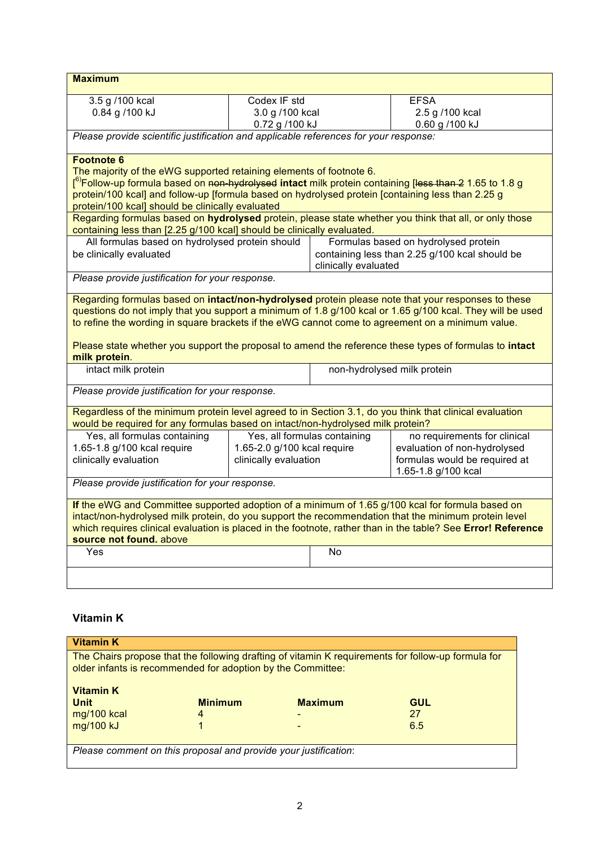| <b>Maximum</b>                                                                                                                                                                                                                                  |                             |                              |                                                                                                                                                                                                                      |  |
|-------------------------------------------------------------------------------------------------------------------------------------------------------------------------------------------------------------------------------------------------|-----------------------------|------------------------------|----------------------------------------------------------------------------------------------------------------------------------------------------------------------------------------------------------------------|--|
| 3.5 g /100 kcal                                                                                                                                                                                                                                 | Codex IF std                |                              | <b>EFSA</b>                                                                                                                                                                                                          |  |
| 0.84 g /100 kJ                                                                                                                                                                                                                                  | 3.0 g /100 kcal             |                              | 2.5 g /100 kcal                                                                                                                                                                                                      |  |
|                                                                                                                                                                                                                                                 | 0.72 g /100 kJ              |                              | 0.60 g /100 kJ                                                                                                                                                                                                       |  |
| Please provide scientific justification and applicable references for your response:                                                                                                                                                            |                             |                              |                                                                                                                                                                                                                      |  |
| <b>Footnote 6</b>                                                                                                                                                                                                                               |                             |                              |                                                                                                                                                                                                                      |  |
| The majority of the eWG supported retaining elements of footnote 6.                                                                                                                                                                             |                             |                              |                                                                                                                                                                                                                      |  |
| f <sup>6)</sup> Follow-up formula based on <del>non-hydrolysed</del> intact milk protein containing [ <del>less than 2</del> 1.65 to 1.8 g<br>protein/100 kcal] and follow-up [formula based on hydrolysed protein [containing less than 2.25 g |                             |                              |                                                                                                                                                                                                                      |  |
| protein/100 kcal] should be clinically evaluated                                                                                                                                                                                                |                             |                              |                                                                                                                                                                                                                      |  |
| containing less than [2.25 g/100 kcal] should be clinically evaluated.                                                                                                                                                                          |                             |                              | Regarding formulas based on hydrolysed protein, please state whether you think that all, or only those                                                                                                               |  |
| All formulas based on hydrolysed protein should                                                                                                                                                                                                 |                             |                              | Formulas based on hydrolysed protein                                                                                                                                                                                 |  |
| be clinically evaluated                                                                                                                                                                                                                         |                             |                              | containing less than 2.25 g/100 kcal should be                                                                                                                                                                       |  |
| Please provide justification for your response.                                                                                                                                                                                                 |                             | clinically evaluated         |                                                                                                                                                                                                                      |  |
|                                                                                                                                                                                                                                                 |                             |                              |                                                                                                                                                                                                                      |  |
|                                                                                                                                                                                                                                                 |                             |                              | Regarding formulas based on intact/non-hydrolysed protein please note that your responses to these                                                                                                                   |  |
| to refine the wording in square brackets if the eWG cannot come to agreement on a minimum value.                                                                                                                                                |                             |                              | questions do not imply that you support a minimum of 1.8 g/100 kcal or 1.65 g/100 kcal. They will be used                                                                                                            |  |
|                                                                                                                                                                                                                                                 |                             |                              |                                                                                                                                                                                                                      |  |
|                                                                                                                                                                                                                                                 |                             |                              | Please state whether you support the proposal to amend the reference these types of formulas to intact                                                                                                               |  |
| milk protein.                                                                                                                                                                                                                                   |                             |                              |                                                                                                                                                                                                                      |  |
| intact milk protein                                                                                                                                                                                                                             |                             |                              | non-hydrolysed milk protein                                                                                                                                                                                          |  |
| Please provide justification for your response.                                                                                                                                                                                                 |                             |                              |                                                                                                                                                                                                                      |  |
| Regardless of the minimum protein level agreed to in Section 3.1, do you think that clinical evaluation<br>would be required for any formulas based on intact/non-hydrolysed milk protein?                                                      |                             |                              |                                                                                                                                                                                                                      |  |
| Yes, all formulas containing                                                                                                                                                                                                                    |                             | Yes, all formulas containing | no requirements for clinical                                                                                                                                                                                         |  |
| 1.65-1.8 g/100 kcal require                                                                                                                                                                                                                     | 1.65-2.0 g/100 kcal require |                              | evaluation of non-hydrolysed                                                                                                                                                                                         |  |
| clinically evaluation                                                                                                                                                                                                                           | clinically evaluation       |                              | formulas would be required at                                                                                                                                                                                        |  |
| 1.65-1.8 g/100 kcal<br>Please provide justification for your response.                                                                                                                                                                          |                             |                              |                                                                                                                                                                                                                      |  |
|                                                                                                                                                                                                                                                 |                             |                              |                                                                                                                                                                                                                      |  |
| If the eWG and Committee supported adoption of a minimum of 1.65 g/100 kcal for formula based on                                                                                                                                                |                             |                              |                                                                                                                                                                                                                      |  |
|                                                                                                                                                                                                                                                 |                             |                              | intact/non-hydrolysed milk protein, do you support the recommendation that the minimum protein level<br>which requires clinical evaluation is placed in the footnote, rather than in the table? See Error! Reference |  |
| source not found. above                                                                                                                                                                                                                         |                             |                              |                                                                                                                                                                                                                      |  |
| Yes                                                                                                                                                                                                                                             |                             | No                           |                                                                                                                                                                                                                      |  |
|                                                                                                                                                                                                                                                 |                             |                              |                                                                                                                                                                                                                      |  |
|                                                                                                                                                                                                                                                 |                             |                              |                                                                                                                                                                                                                      |  |
|                                                                                                                                                                                                                                                 |                             |                              |                                                                                                                                                                                                                      |  |
| <b>Vitamin K</b>                                                                                                                                                                                                                                |                             |                              |                                                                                                                                                                                                                      |  |
| <b>Vitamin K</b>                                                                                                                                                                                                                                |                             |                              |                                                                                                                                                                                                                      |  |
| The Chairs propose that the following drafting of vitamin K requirements for follow-up formula for<br>older infants is recommended for adoption by the Committee:                                                                               |                             |                              |                                                                                                                                                                                                                      |  |
|                                                                                                                                                                                                                                                 |                             |                              |                                                                                                                                                                                                                      |  |
| <b>Vitamin K</b>                                                                                                                                                                                                                                |                             |                              |                                                                                                                                                                                                                      |  |
| <b>Unit</b>                                                                                                                                                                                                                                     | <b>Minimum</b>              | <b>Maximum</b>               | <b>GUL</b>                                                                                                                                                                                                           |  |
| mg/100 kcal<br>4<br>mg/100 kJ<br>1                                                                                                                                                                                                              |                             |                              | 27<br>6.5                                                                                                                                                                                                            |  |
|                                                                                                                                                                                                                                                 |                             |                              |                                                                                                                                                                                                                      |  |

*Please comment on this proposal and provide your justification*: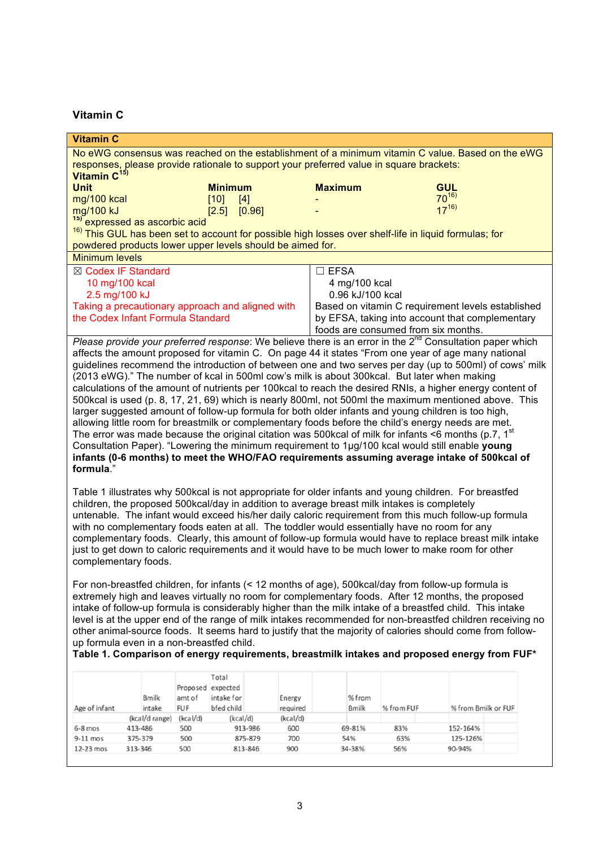## **Vitamin C**

| <b>Vitamin C</b>                                                                                                                                                                                                        |                |            |                   |         |          |                                                   |               |                                     |                                                                                                                  |  |
|-------------------------------------------------------------------------------------------------------------------------------------------------------------------------------------------------------------------------|----------------|------------|-------------------|---------|----------|---------------------------------------------------|---------------|-------------------------------------|------------------------------------------------------------------------------------------------------------------|--|
|                                                                                                                                                                                                                         |                |            |                   |         |          |                                                   |               |                                     | No eWG consensus was reached on the establishment of a minimum vitamin C value. Based on the eWG                 |  |
| responses, please provide rationale to support your preferred value in square brackets:                                                                                                                                 |                |            |                   |         |          |                                                   |               |                                     |                                                                                                                  |  |
| Vitamin C <sup>15)</sup>                                                                                                                                                                                                |                |            |                   |         |          |                                                   |               |                                     |                                                                                                                  |  |
| <b>Unit</b>                                                                                                                                                                                                             |                |            | <b>Minimum</b>    |         |          | <b>Maximum</b>                                    |               |                                     | <b>GUL</b><br>$70^{16}$                                                                                          |  |
| mg/100 kcal                                                                                                                                                                                                             |                |            | [10]              | $[4]$   |          |                                                   |               |                                     | $17^{16}$                                                                                                        |  |
| mg/100 kJ                                                                                                                                                                                                               |                |            | $[2.5]$ $[0.96]$  |         |          |                                                   |               |                                     |                                                                                                                  |  |
| <sup>15)</sup> expressed as ascorbic acid                                                                                                                                                                               |                |            |                   |         |          |                                                   |               |                                     | <sup>16)</sup> This GUL has been set to account for possible high losses over shelf-life in liquid formulas; for |  |
| powdered products lower upper levels should be aimed for.                                                                                                                                                               |                |            |                   |         |          |                                                   |               |                                     |                                                                                                                  |  |
| <b>Minimum levels</b>                                                                                                                                                                                                   |                |            |                   |         |          |                                                   |               |                                     |                                                                                                                  |  |
| ⊠ Codex IF Standard                                                                                                                                                                                                     |                |            |                   |         |          | $\square$ EFSA                                    |               |                                     |                                                                                                                  |  |
| 10 mg/100 kcal                                                                                                                                                                                                          |                |            |                   |         |          |                                                   | 4 mg/100 kcal |                                     |                                                                                                                  |  |
| 2.5 mg/100 kJ                                                                                                                                                                                                           |                |            |                   |         |          | 0.96 kJ/100 kcal                                  |               |                                     |                                                                                                                  |  |
| Taking a precautionary approach and aligned with                                                                                                                                                                        |                |            |                   |         |          | Based on vitamin C requirement levels established |               |                                     |                                                                                                                  |  |
| the Codex Infant Formula Standard                                                                                                                                                                                       |                |            |                   |         |          |                                                   |               |                                     | by EFSA, taking into account that complementary                                                                  |  |
|                                                                                                                                                                                                                         |                |            |                   |         |          |                                                   |               | foods are consumed from six months. |                                                                                                                  |  |
|                                                                                                                                                                                                                         |                |            |                   |         |          |                                                   |               |                                     | Please provide your preferred response: We believe there is an error in the $2^{nd}$ Consultation paper which    |  |
|                                                                                                                                                                                                                         |                |            |                   |         |          |                                                   |               |                                     | affects the amount proposed for vitamin C. On page 44 it states "From one year of age many national              |  |
|                                                                                                                                                                                                                         |                |            |                   |         |          |                                                   |               |                                     | guidelines recommend the introduction of between one and two serves per day (up to 500ml) of cows' milk          |  |
| (2013 eWG)." The number of kcal in 500ml cow's milk is about 300kcal. But later when making                                                                                                                             |                |            |                   |         |          |                                                   |               |                                     |                                                                                                                  |  |
|                                                                                                                                                                                                                         |                |            |                   |         |          |                                                   |               |                                     | calculations of the amount of nutrients per 100kcal to reach the desired RNIs, a higher energy content of        |  |
|                                                                                                                                                                                                                         |                |            |                   |         |          |                                                   |               |                                     | 500kcal is used (p. 8, 17, 21, 69) which is nearly 800ml, not 500ml the maximum mentioned above. This            |  |
|                                                                                                                                                                                                                         |                |            |                   |         |          |                                                   |               |                                     | larger suggested amount of follow-up formula for both older infants and young children is too high,              |  |
|                                                                                                                                                                                                                         |                |            |                   |         |          |                                                   |               |                                     | allowing little room for breastmilk or complementary foods before the child's energy needs are met.              |  |
|                                                                                                                                                                                                                         |                |            |                   |         |          |                                                   |               |                                     | The error was made because the original citation was 500 kcal of milk for infants <6 months (p.7, $1st$          |  |
|                                                                                                                                                                                                                         |                |            |                   |         |          |                                                   |               |                                     | Consultation Paper). "Lowering the minimum requirement to 1µg/100 kcal would still enable young                  |  |
|                                                                                                                                                                                                                         |                |            |                   |         |          |                                                   |               |                                     | infants (0-6 months) to meet the WHO/FAO requirements assuming average intake of 500kcal of                      |  |
| formula."                                                                                                                                                                                                               |                |            |                   |         |          |                                                   |               |                                     |                                                                                                                  |  |
|                                                                                                                                                                                                                         |                |            |                   |         |          |                                                   |               |                                     |                                                                                                                  |  |
|                                                                                                                                                                                                                         |                |            |                   |         |          |                                                   |               |                                     | Table 1 illustrates why 500kcal is not appropriate for older infants and young children. For breastfed           |  |
| children, the proposed 500kcal/day in addition to average breast milk intakes is completely                                                                                                                             |                |            |                   |         |          |                                                   |               |                                     |                                                                                                                  |  |
| untenable. The infant would exceed his/her daily caloric requirement from this much follow-up formula                                                                                                                   |                |            |                   |         |          |                                                   |               |                                     |                                                                                                                  |  |
| with no complementary foods eaten at all. The toddler would essentially have no room for any                                                                                                                            |                |            |                   |         |          |                                                   |               |                                     |                                                                                                                  |  |
| complementary foods. Clearly, this amount of follow-up formula would have to replace breast milk intake<br>just to get down to caloric requirements and it would have to be much lower to make room for other           |                |            |                   |         |          |                                                   |               |                                     |                                                                                                                  |  |
|                                                                                                                                                                                                                         |                |            |                   |         |          |                                                   |               |                                     |                                                                                                                  |  |
| complementary foods.                                                                                                                                                                                                    |                |            |                   |         |          |                                                   |               |                                     |                                                                                                                  |  |
| For non-breastfed children, for infants (< 12 months of age), 500kcal/day from follow-up formula is                                                                                                                     |                |            |                   |         |          |                                                   |               |                                     |                                                                                                                  |  |
|                                                                                                                                                                                                                         |                |            |                   |         |          |                                                   |               |                                     |                                                                                                                  |  |
|                                                                                                                                                                                                                         |                |            |                   |         |          |                                                   |               |                                     | extremely high and leaves virtually no room for complementary foods. After 12 months, the proposed               |  |
| intake of follow-up formula is considerably higher than the milk intake of a breastfed child. This intake<br>level is at the upper end of the range of milk intakes recommended for non-breastfed children receiving no |                |            |                   |         |          |                                                   |               |                                     |                                                                                                                  |  |
|                                                                                                                                                                                                                         |                |            |                   |         |          |                                                   |               |                                     |                                                                                                                  |  |
| up formula even in a non-breastfed child.                                                                                                                                                                               |                |            |                   |         |          |                                                   |               |                                     | other animal-source foods. It seems hard to justify that the majority of calories should come from follow-       |  |
|                                                                                                                                                                                                                         |                |            |                   |         |          |                                                   |               |                                     | Table 1. Comparison of energy requirements, breastmilk intakes and proposed energy from FUF*                     |  |
|                                                                                                                                                                                                                         |                |            |                   |         |          |                                                   |               |                                     |                                                                                                                  |  |
|                                                                                                                                                                                                                         |                |            | Total             |         |          |                                                   |               |                                     |                                                                                                                  |  |
|                                                                                                                                                                                                                         |                |            | Proposed expected |         |          |                                                   |               |                                     |                                                                                                                  |  |
|                                                                                                                                                                                                                         | <b>Bmilk</b>   | amt of     | intake for        |         | Energy   |                                                   | % from        |                                     |                                                                                                                  |  |
| Age of infant                                                                                                                                                                                                           | intake         | <b>FUF</b> | bfed child        |         | required |                                                   | <b>Bmilk</b>  | % from FUF                          | % from Bmilk or FUF                                                                                              |  |
|                                                                                                                                                                                                                         | (kcal/d range) | (kcal/d)   | (kcal/d)          |         | (kcal/d) |                                                   |               |                                     |                                                                                                                  |  |
| $6-8$ mos                                                                                                                                                                                                               | 413-486        | 500        |                   | 913-986 | 600      |                                                   | 69-81%        | 83%                                 | 152-164%                                                                                                         |  |
| 9-11 mos                                                                                                                                                                                                                | 375-379        | 500        |                   | 875-879 | 700      |                                                   | 54%           | 63%                                 | 125-126%                                                                                                         |  |
| 12-23 mos                                                                                                                                                                                                               | 313-346        | 500        |                   | 813-846 | 900      |                                                   | 34-38%        | 56%                                 | 90-94%                                                                                                           |  |
|                                                                                                                                                                                                                         |                |            |                   |         |          |                                                   |               |                                     |                                                                                                                  |  |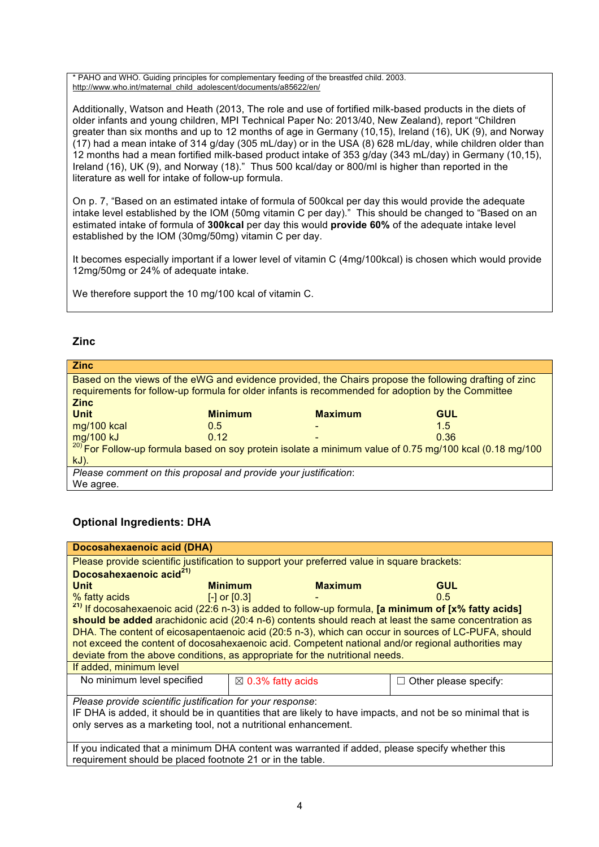\* PAHO and WHO. Guiding principles for complementary feeding of the breastfed child. 2003. [http://www.who.int/maternal\\_child\\_adolescent/documents/a85622/en/](http://www.who.int/maternal_child_adolescent/documents/a85622/en/)

Additionally, Watson and Heath (2013, The role and use of fortified milk-based products in the diets of older infants and young children, MPI Technical Paper No: 2013/40, New Zealand), report "Children greater than six months and up to 12 months of age in Germany (10,15), Ireland (16), UK (9), and Norway (17) had a mean intake of 314 g/day (305 mL/day) or in the USA (8) 628 mL/day, while children older than 12 months had a mean fortified milk-based product intake of 353 g/day (343 mL/day) in Germany (10,15), Ireland (16), UK (9), and Norway (18)." Thus 500 kcal/day or 800/ml is higher than reported in the literature as well for intake of follow-up formula.

On p. 7, "Based on an estimated intake of formula of 500kcal per day this would provide the adequate intake level established by the IOM (50mg vitamin C per day)." This should be changed to "Based on an estimated intake of formula of **300kcal** per day this would **provide 60%** of the adequate intake level established by the IOM (30mg/50mg) vitamin C per day.

It becomes especially important if a lower level of vitamin C (4mg/100kcal) is chosen which would provide 12mg/50mg or 24% of adequate intake.

We therefore support the 10 mg/100 kcal of vitamin C.

## **Zinc**

| <b>Zinc</b>                                                                                            |                |                                                                                                   |                                                                                                                    |  |  |
|--------------------------------------------------------------------------------------------------------|----------------|---------------------------------------------------------------------------------------------------|--------------------------------------------------------------------------------------------------------------------|--|--|
| Based on the views of the eWG and evidence provided, the Chairs propose the following drafting of zinc |                |                                                                                                   |                                                                                                                    |  |  |
|                                                                                                        |                | requirements for follow-up formula for older infants is recommended for adoption by the Committee |                                                                                                                    |  |  |
| <b>Zinc</b>                                                                                            |                |                                                                                                   |                                                                                                                    |  |  |
| <b>Unit</b>                                                                                            | <b>Minimum</b> | <b>Maximum</b>                                                                                    | <b>GUL</b>                                                                                                         |  |  |
| mg/100 kcal                                                                                            | 0.5            |                                                                                                   | 1.5                                                                                                                |  |  |
| mg/100 kJ                                                                                              | 0.12           |                                                                                                   | 0.36                                                                                                               |  |  |
|                                                                                                        |                |                                                                                                   | <sup>20)</sup> For Follow-up formula based on soy protein isolate a minimum value of 0.75 mg/100 kcal (0.18 mg/100 |  |  |
| $kJ$ ).                                                                                                |                |                                                                                                   |                                                                                                                    |  |  |
| Please comment on this proposal and provide your justification:                                        |                |                                                                                                   |                                                                                                                    |  |  |
| We agree.                                                                                              |                |                                                                                                   |                                                                                                                    |  |  |

# **Optional Ingredients: DHA**

| Docosahexaenoic acid (DHA)                                                                                      |                              |                |                                  |  |  |
|-----------------------------------------------------------------------------------------------------------------|------------------------------|----------------|----------------------------------|--|--|
| Please provide scientific justification to support your preferred value in square brackets:                     |                              |                |                                  |  |  |
| Docosahexaenoic acid <sup>21)</sup>                                                                             |                              |                |                                  |  |  |
| <b>Unit</b>                                                                                                     | <b>Minimum</b>               | <b>Maximum</b> | <b>GUL</b>                       |  |  |
| % fatty acids                                                                                                   | $[-]$ or $[0.3]$             |                | $0.5^{\circ}$                    |  |  |
| <sup>21)</sup> If docosahexaenoic acid (22:6 n-3) is added to follow-up formula, [a minimum of [x% fatty acids] |                              |                |                                  |  |  |
| should be added arachidonic acid (20:4 n-6) contents should reach at least the same concentration as            |                              |                |                                  |  |  |
| DHA. The content of eicosapentaenoic acid (20:5 n-3), which can occur in sources of LC-PUFA, should             |                              |                |                                  |  |  |
| not exceed the content of docosahexaenoic acid. Competent national and/or regional authorities may              |                              |                |                                  |  |  |
| deviate from the above conditions, as appropriate for the nutritional needs.                                    |                              |                |                                  |  |  |
| If added, minimum level                                                                                         |                              |                |                                  |  |  |
| No minimum level specified                                                                                      | $\boxtimes$ 0.3% fatty acids |                | Other please specify:<br>$\perp$ |  |  |
|                                                                                                                 |                              |                |                                  |  |  |
| Please provide scientific justification for your response:                                                      |                              |                |                                  |  |  |
| IF DHA is added, it should be in quantities that are likely to have impacts, and not be so minimal that is      |                              |                |                                  |  |  |
| only serves as a marketing tool, not a nutritional enhancement.                                                 |                              |                |                                  |  |  |
|                                                                                                                 |                              |                |                                  |  |  |
| If you indicated that a minimum DHA content was warranted if added, please specify whether this                 |                              |                |                                  |  |  |
| requirement should be placed footnote 21 or in the table.                                                       |                              |                |                                  |  |  |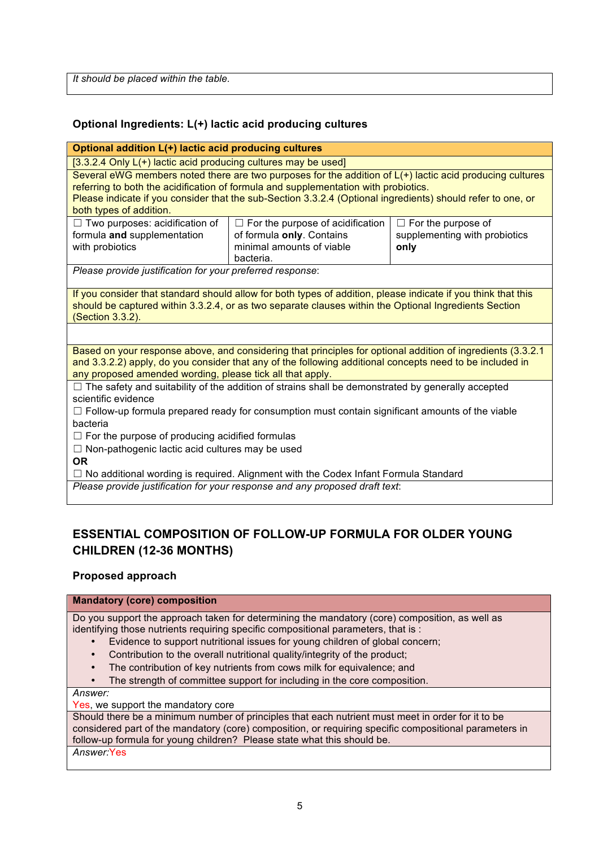*It should be placed within the table.*

# **Optional Ingredients: L(+) lactic acid producing cultures**

#### **Optional addition L(+) lactic acid producing cultures**

[3.3.2.4 Only L(+) lactic acid producing cultures may be used]

Several eWG members noted there are two purposes for the addition of  $L(+)$  lactic acid producing cultures referring to both the acidification of formula and supplementation with probiotics. Please indicate if you consider that the sub-Section 3.3.2.4 (Optional ingredients) should refer to one, or both types of addition.

| $\Box$ Two purposes: acidification of | $\Box$ For the purpose of acidification $\vert$ | $\Box$ For the purpose of     |
|---------------------------------------|-------------------------------------------------|-------------------------------|
| formula and supplementation           | of formula only. Contains                       | supplementing with probiotics |
| with probiotics                       | minimal amounts of viable                       | only                          |
|                                       | bacteria.                                       |                               |

*Please provide justification for your preferred response*:

If you consider that standard should allow for both types of addition, please indicate if you think that this should be captured within 3.3.2.4, or as two separate clauses within the Optional Ingredients Section (Section 3.3.2).

Based on your response above, and considering that principles for optional addition of ingredients (3.3.2.1 and 3.3.2.2) apply, do you consider that any of the following additional concepts need to be included in any proposed amended wording, please tick all that apply.

 $\Box$  The safety and suitability of the addition of strains shall be demonstrated by generally accepted scientific evidence

 $\Box$  Follow-up formula prepared ready for consumption must contain significant amounts of the viable bacteria

 $\Box$  For the purpose of producing acidified formulas

 $\Box$  Non-pathogenic lactic acid cultures may be used

**OR**

 $\Box$  No additional wording is required. Alignment with the Codex Infant Formula Standard

*Please provide justification for your response and any proposed draft text*:

# **ESSENTIAL COMPOSITION OF FOLLOW-UP FORMULA FOR OLDER YOUNG CHILDREN (12-36 MONTHS)**

### **Proposed approach**

### **Mandatory (core) composition**

Do you support the approach taken for determining the mandatory (core) composition, as well as identifying those nutrients requiring specific compositional parameters, that is :

- Evidence to support nutritional issues for young children of global concern;
- Contribution to the overall nutritional quality/integrity of the product;
- The contribution of key nutrients from cows milk for equivalence; and
- The strength of committee support for including in the core composition.

*Answer:*

Yes, we support the mandatory core

Should there be a minimum number of principles that each nutrient must meet in order for it to be considered part of the mandatory (core) composition, or requiring specific compositional parameters in follow-up formula for young children? Please state what this should be.

*Answer:*Yes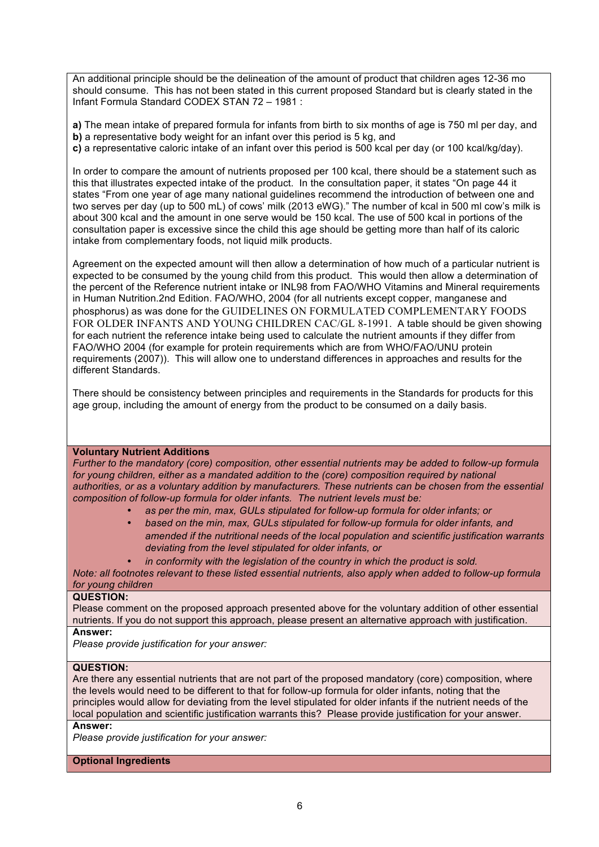An additional principle should be the delineation of the amount of product that children ages 12-36 mo should consume. This has not been stated in this current proposed Standard but is clearly stated in the Infant Formula Standard CODEX STAN 72 – 1981 :

**a)** The mean intake of prepared formula for infants from birth to six months of age is 750 ml per day, and **b)** a representative body weight for an infant over this period is 5 kg, and **c)** a representative caloric intake of an infant over this period is 500 kcal per day (or 100 kcal/kg/day).

In order to compare the amount of nutrients proposed per 100 kcal, there should be a statement such as this that illustrates expected intake of the product. In the consultation paper, it states "On page 44 it states "From one year of age many national guidelines recommend the introduction of between one and two serves per day (up to 500 mL) of cows' milk (2013 eWG)." The number of kcal in 500 ml cow's milk is about 300 kcal and the amount in one serve would be 150 kcal. The use of 500 kcal in portions of the consultation paper is excessive since the child this age should be getting more than half of its caloric intake from complementary foods, not liquid milk products.

Agreement on the expected amount will then allow a determination of how much of a particular nutrient is expected to be consumed by the young child from this product. This would then allow a determination of the percent of the Reference nutrient intake or INL98 from FAO/WHO Vitamins and Mineral requirements in Human Nutrition.2nd Edition. FAO/WHO, 2004 (for all nutrients except copper, manganese and phosphorus) as was done for the GUIDELINES ON FORMULATED COMPLEMENTARY FOODS FOR OLDER INFANTS AND YOUNG CHILDREN CAC/GL 8-1991. A table should be given showing for each nutrient the reference intake being used to calculate the nutrient amounts if they differ from FAO/WHO 2004 (for example for protein requirements which are from WHO/FAO/UNU protein requirements (2007)). This will allow one to understand differences in approaches and results for the different Standards.

There should be consistency between principles and requirements in the Standards for products for this age group, including the amount of energy from the product to be consumed on a daily basis.

#### **Voluntary Nutrient Additions**

*Further to the mandatory (core) composition, other essential nutrients may be added to follow-up formula*  for young children, either as a mandated addition to the (core) composition required by national *authorities, or as a voluntary addition by manufacturers. These nutrients can be chosen from the essential composition of follow-up formula for older infants. The nutrient levels must be:*

- *as per the min, max, GULs stipulated for follow-up formula for older infants; or*
- *based on the min, max, GULs stipulated for follow-up formula for older infants, and amended if the nutritional needs of the local population and scientific justification warrants deviating from the level stipulated for older infants, or*
	- *in conformity with the legislation of the country in which the product is sold.*

*Note: all footnotes relevant to these listed essential nutrients, also apply when added to follow-up formula for young children*

#### **QUESTION:**

Please comment on the proposed approach presented above for the voluntary addition of other essential nutrients. If you do not support this approach, please present an alternative approach with justification.

## **Answer:**

*Please provide justification for your answer:*

#### **QUESTION:**

Are there any essential nutrients that are not part of the proposed mandatory (core) composition, where the levels would need to be different to that for follow-up formula for older infants, noting that the principles would allow for deviating from the level stipulated for older infants if the nutrient needs of the local population and scientific justification warrants this? Please provide justification for your answer. **Answer:**

*Please provide justification for your answer:*

#### **Optional Ingredients**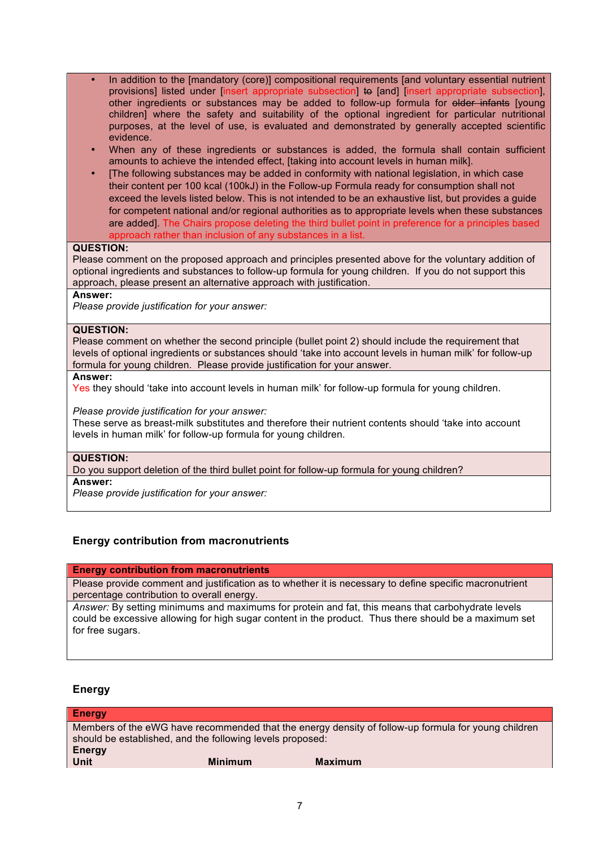- In addition to the [mandatory (core)] compositional requirements [and voluntary essential nutrient provisions] listed under [insert appropriate subsection] to [and] [insert appropriate subsection], other ingredients or substances may be added to follow-up formula for elder infants [young children] where the safety and suitability of the optional ingredient for particular nutritional purposes, at the level of use, is evaluated and demonstrated by generally accepted scientific evidence.
- When any of these ingredients or substances is added, the formula shall contain sufficient amounts to achieve the intended effect, [taking into account levels in human milk].
- [The following substances may be added in conformity with national legislation, in which case their content per 100 kcal (100kJ) in the Follow-up Formula ready for consumption shall not exceed the levels listed below. This is not intended to be an exhaustive list, but provides a guide for competent national and/or regional authorities as to appropriate levels when these substances are added]. The Chairs propose deleting the third bullet point in preference for a principles based approach rather than inclusion of any substances in a list.

#### **QUESTION:**

Please comment on the proposed approach and principles presented above for the voluntary addition of optional ingredients and substances to follow-up formula for young children. If you do not support this approach, please present an alternative approach with justification.

#### **Answer:**

*Please provide justification for your answer:*

#### **QUESTION:**

Please comment on whether the second principle (bullet point 2) should include the requirement that levels of optional ingredients or substances should 'take into account levels in human milk' for follow-up formula for young children. Please provide justification for your answer.

#### **Answer:**

Yes they should 'take into account levels in human milk' for follow-up formula for young children.

#### *Please provide justification for your answer:*

These serve as breast-milk substitutes and therefore their nutrient contents should 'take into account levels in human milk' for follow-up formula for young children.

#### **QUESTION:**

Do you support deletion of the third bullet point for follow-up formula for young children?

#### **Answer:**

*Please provide justification for your answer:*

### **Energy contribution from macronutrients**

#### **Energy contribution from macronutrients**

Please provide comment and justification as to whether it is necessary to define specific macronutrient percentage contribution to overall energy.

*Answer:* By setting minimums and maximums for protein and fat, this means that carbohydrate levels could be excessive allowing for high sugar content in the product. Thus there should be a maximum set for free sugars.

### **Energy**

|                                                           | Members of the eWG have recommended that the energy density of follow-up formula for young children |
|-----------------------------------------------------------|-----------------------------------------------------------------------------------------------------|
| should be established, and the following levels proposed: |                                                                                                     |
|                                                           |                                                                                                     |
| <b>Minimum</b>                                            | <b>Maximum</b>                                                                                      |
|                                                           |                                                                                                     |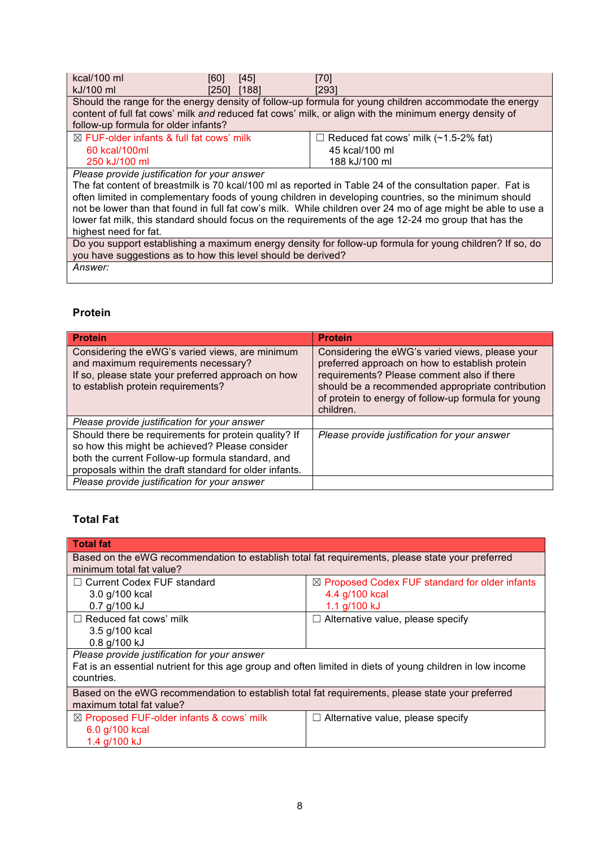| kcal/100 ml                                                                                                  | [60]  | [45]  | [70]                                                                                                      |  |
|--------------------------------------------------------------------------------------------------------------|-------|-------|-----------------------------------------------------------------------------------------------------------|--|
| kJ/100 ml                                                                                                    | [250] | [188] | [293]                                                                                                     |  |
|                                                                                                              |       |       | Should the range for the energy density of follow-up formula for young children accommodate the energy    |  |
|                                                                                                              |       |       | content of full fat cows' milk and reduced fat cows' milk, or align with the minimum energy density of    |  |
| follow-up formula for older infants?                                                                         |       |       |                                                                                                           |  |
| $\boxtimes$ FUF-older infants & full fat cows' milk                                                          |       |       | $\Box$ Reduced fat cows' milk (~1.5-2% fat)                                                               |  |
| 60 kcal/100ml                                                                                                |       |       | 45 kcal/100 ml                                                                                            |  |
| 250 kJ/100 ml                                                                                                |       |       | 188 kJ/100 ml                                                                                             |  |
| Please provide justification for your answer                                                                 |       |       |                                                                                                           |  |
|                                                                                                              |       |       | The fat content of breastmilk is 70 kcal/100 ml as reported in Table 24 of the consultation paper. Fat is |  |
| often limited in complementary foods of young children in developing countries, so the minimum should        |       |       |                                                                                                           |  |
| not be lower than that found in full fat cow's milk. While children over 24 mo of age might be able to use a |       |       |                                                                                                           |  |
| lower fat milk, this standard should focus on the requirements of the age 12-24 mo group that has the        |       |       |                                                                                                           |  |
| highest need for fat.                                                                                        |       |       |                                                                                                           |  |
| Do you support establishing a maximum energy density for follow-up formula for young children? If so, do     |       |       |                                                                                                           |  |
| you have suggestions as to how this level should be derived?                                                 |       |       |                                                                                                           |  |

*Answer:*

## **Protein**

| <b>Protein</b>                                                                                                                                                                                                       | <b>Protein</b>                                                                                                                                                                                                                                                          |
|----------------------------------------------------------------------------------------------------------------------------------------------------------------------------------------------------------------------|-------------------------------------------------------------------------------------------------------------------------------------------------------------------------------------------------------------------------------------------------------------------------|
| Considering the eWG's varied views, are minimum<br>and maximum requirements necessary?<br>If so, please state your preferred approach on how<br>to establish protein requirements?                                   | Considering the eWG's varied views, please your<br>preferred approach on how to establish protein<br>requirements? Please comment also if there<br>should be a recommended appropriate contribution<br>of protein to energy of follow-up formula for young<br>children. |
| Please provide justification for your answer                                                                                                                                                                         |                                                                                                                                                                                                                                                                         |
| Should there be requirements for protein quality? If<br>so how this might be achieved? Please consider<br>both the current Follow-up formula standard, and<br>proposals within the draft standard for older infants. | Please provide justification for your answer                                                                                                                                                                                                                            |
| Please provide justification for your answer                                                                                                                                                                         |                                                                                                                                                                                                                                                                         |

# **Total Fat**

| <b>Total fat</b>                                                                                           |                                                           |  |  |  |  |
|------------------------------------------------------------------------------------------------------------|-----------------------------------------------------------|--|--|--|--|
|                                                                                                            |                                                           |  |  |  |  |
| Based on the eWG recommendation to establish total fat requirements, please state your preferred           |                                                           |  |  |  |  |
| minimum total fat value?                                                                                   |                                                           |  |  |  |  |
| $\Box$ Current Codex FUF standard                                                                          | $\boxtimes$ Proposed Codex FUF standard for older infants |  |  |  |  |
| 3.0 g/100 kcal                                                                                             | 4.4 g/100 kcal                                            |  |  |  |  |
| $0.7$ g/100 kJ                                                                                             | 1.1 $g/100$ kJ                                            |  |  |  |  |
| $\Box$ Reduced fat cows' milk                                                                              | $\Box$ Alternative value, please specify                  |  |  |  |  |
| 3.5 g/100 kcal                                                                                             |                                                           |  |  |  |  |
| 0.8 g/100 kJ                                                                                               |                                                           |  |  |  |  |
| Please provide justification for your answer                                                               |                                                           |  |  |  |  |
| Fat is an essential nutrient for this age group and often limited in diets of young children in low income |                                                           |  |  |  |  |
| countries.                                                                                                 |                                                           |  |  |  |  |
| Based on the eWG recommendation to establish total fat requirements, please state your preferred           |                                                           |  |  |  |  |
| maximum total fat value?                                                                                   |                                                           |  |  |  |  |
| $\boxtimes$ Proposed FUF-older infants & cows' milk                                                        | $\Box$ Alternative value, please specify                  |  |  |  |  |
| 6.0 g/100 kcal                                                                                             |                                                           |  |  |  |  |
| 1.4 g/100 kJ                                                                                               |                                                           |  |  |  |  |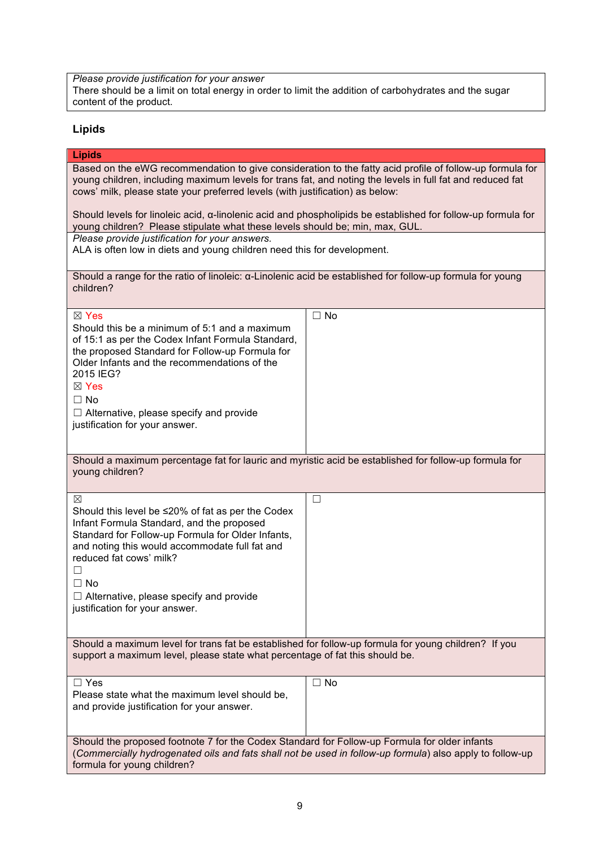*Please provide justification for your answer* There should be a limit on total energy in order to limit the addition of carbohydrates and the sugar content of the product.

## **Lipids**

#### **Lipids**

Based on the eWG recommendation to give consideration to the fatty acid profile of follow-up formula for young children, including maximum levels for trans fat, and noting the levels in full fat and reduced fat cows' milk, please state your preferred levels (with justification) as below:

Should levels for linoleic acid, α-linolenic acid and phospholipids be established for follow-up formula for young children? Please stipulate what these levels should be; min, max, GUL.

*Please provide justification for your answers.*

ALA is often low in diets and young children need this for development.

| Should a range for the ratio of linoleic: α-Linolenic acid be established for follow-up formula for young |  |
|-----------------------------------------------------------------------------------------------------------|--|
| children?                                                                                                 |  |

| ⊠ Yes<br>Should this be a minimum of 5:1 and a maximum<br>of 15:1 as per the Codex Infant Formula Standard,<br>the proposed Standard for Follow-up Formula for<br>Older Infants and the recommendations of the<br>2015 IEG?<br>$\boxtimes$ Yes<br>$\Box$ No<br>$\Box$ Alternative, please specify and provide<br>justification for your answer. | $\square$ No |  |  |  |
|-------------------------------------------------------------------------------------------------------------------------------------------------------------------------------------------------------------------------------------------------------------------------------------------------------------------------------------------------|--------------|--|--|--|
| Should a maximum percentage fat for lauric and myristic acid be established for follow-up formula for<br>young children?                                                                                                                                                                                                                        |              |  |  |  |
| ⊠<br>Should this level be ≤20% of fat as per the Codex<br>Infant Formula Standard, and the proposed<br>Standard for Follow-up Formula for Older Infants,<br>and noting this would accommodate full fat and<br>reduced fat cows' milk?<br>□<br>$\Box$ No<br>$\Box$ Alternative, please specify and provide<br>justification for your answer.     | $\Box$       |  |  |  |
| Should a maximum level for trans fat be established for follow-up formula for young children? If you<br>support a maximum level, please state what percentage of fat this should be.                                                                                                                                                            |              |  |  |  |
| $\Box$ Yes<br>Please state what the maximum level should be,<br>and provide justification for your answer.                                                                                                                                                                                                                                      | $\Box$ No    |  |  |  |
| Should the proposed footnote 7 for the Codex Standard for Follow-up Formula for older infants<br>(Commercially hydrogenated oils and fats shall not be used in follow-up formula) also apply to follow-up<br>formula for young children?                                                                                                        |              |  |  |  |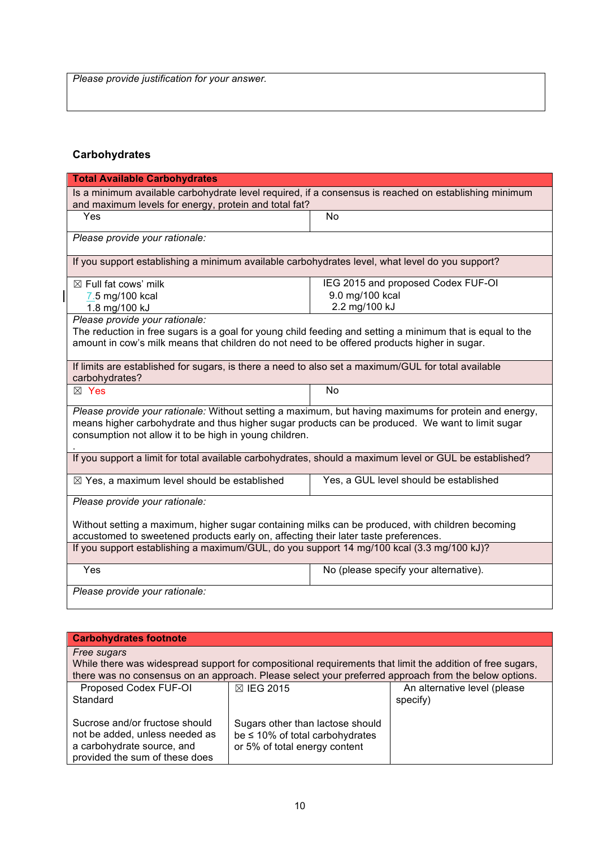*Please provide justification for your answer.*

# **Carbohydrates**

 $\begin{array}{c} \hline \end{array}$ 

| <b>Total Available Carbohydrates</b>                                                                      |                                        |  |  |
|-----------------------------------------------------------------------------------------------------------|----------------------------------------|--|--|
| Is a minimum available carbohydrate level required, if a consensus is reached on establishing minimum     |                                        |  |  |
| and maximum levels for energy, protein and total fat?                                                     |                                        |  |  |
| Yes                                                                                                       | No                                     |  |  |
| Please provide your rationale:                                                                            |                                        |  |  |
| If you support establishing a minimum available carbohydrates level, what level do you support?           |                                        |  |  |
| $\boxtimes$ Full fat cows' milk                                                                           | IEG 2015 and proposed Codex FUF-OI     |  |  |
| 7.5 mg/100 kcal                                                                                           | 9.0 mg/100 kcal                        |  |  |
| 1.8 mg/100 kJ                                                                                             | 2.2 mg/100 kJ                          |  |  |
| Please provide your rationale:                                                                            |                                        |  |  |
| The reduction in free sugars is a goal for young child feeding and setting a minimum that is equal to the |                                        |  |  |
| amount in cow's milk means that children do not need to be offered products higher in sugar.              |                                        |  |  |
| If limits are established for sugars, is there a need to also set a maximum/GUL for total available       |                                        |  |  |
| carbohydrates?                                                                                            |                                        |  |  |
| $\boxtimes$ Yes                                                                                           | N <sub>o</sub>                         |  |  |
| Please provide your rationale: Without setting a maximum, but having maximums for protein and energy,     |                                        |  |  |
| means higher carbohydrate and thus higher sugar products can be produced. We want to limit sugar          |                                        |  |  |
| consumption not allow it to be high in young children.                                                    |                                        |  |  |
| If you support a limit for total available carbohydrates, should a maximum level or GUL be established?   |                                        |  |  |
| $\boxtimes$ Yes, a maximum level should be established                                                    | Yes, a GUL level should be established |  |  |
| Please provide your rationale:                                                                            |                                        |  |  |
| Without setting a maximum, higher sugar containing milks can be produced, with children becoming          |                                        |  |  |
| accustomed to sweetened products early on, affecting their later taste preferences.                       |                                        |  |  |
| If you support establishing a maximum/GUL, do you support 14 mg/100 kcal (3.3 mg/100 kJ)?                 |                                        |  |  |
| Yes                                                                                                       | No (please specify your alternative).  |  |  |
| Please provide your rationale:                                                                            |                                        |  |  |

| <b>Carbohydrates footnote</b>                                                                                                    |                                                                                                           |                                          |
|----------------------------------------------------------------------------------------------------------------------------------|-----------------------------------------------------------------------------------------------------------|------------------------------------------|
| Free sugars                                                                                                                      | While there was widespread support for compositional requirements that limit the addition of free sugars, |                                          |
|                                                                                                                                  | there was no consensus on an approach. Please select your preferred approach from the below options.      |                                          |
| Proposed Codex FUF-OI<br>Standard                                                                                                | <b>⊠ IEG 2015</b>                                                                                         | An alternative level (please<br>specify) |
| Sucrose and/or fructose should<br>not be added, unless needed as<br>a carbohydrate source, and<br>provided the sum of these does | Sugars other than lactose should<br>be $\leq$ 10% of total carbohydrates<br>or 5% of total energy content |                                          |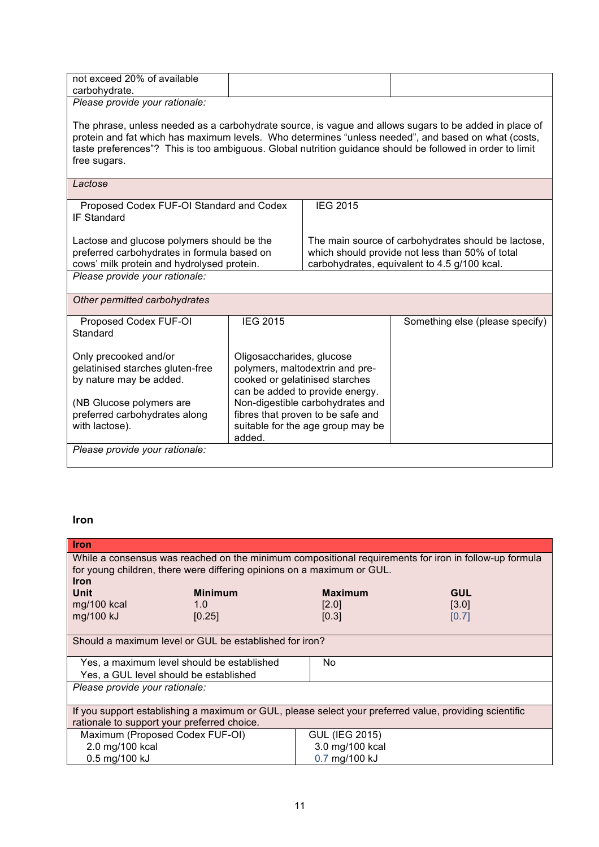| 20%<br>not exceed<br>available:<br>. of |  |
|-----------------------------------------|--|
| carbohydrate.                           |  |
| $\sim$<br>.<br>. .                      |  |

*Please provide your rationale:*

The phrase, unless needed as a carbohydrate source, is vague and allows sugars to be added in place of protein and fat which has maximum levels. Who determines "unless needed", and based on what (costs, taste preferences"? This is too ambiguous. Global nutrition guidance should be followed in order to limit free sugars.

| Lactose                                                                                                                                                             |                                                                                                                                                                                                                                                           |                                                                                                                                                        |                                 |
|---------------------------------------------------------------------------------------------------------------------------------------------------------------------|-----------------------------------------------------------------------------------------------------------------------------------------------------------------------------------------------------------------------------------------------------------|--------------------------------------------------------------------------------------------------------------------------------------------------------|---------------------------------|
| Proposed Codex FUF-OI Standard and Codex<br><b>IF Standard</b>                                                                                                      |                                                                                                                                                                                                                                                           | <b>IEG 2015</b>                                                                                                                                        |                                 |
| Lactose and glucose polymers should be the<br>preferred carbohydrates in formula based on<br>cows' milk protein and hydrolysed protein.                             |                                                                                                                                                                                                                                                           | The main source of carbohydrates should be lactose,<br>which should provide not less than 50% of total<br>carbohydrates, equivalent to 4.5 g/100 kcal. |                                 |
| Please provide your rationale:                                                                                                                                      |                                                                                                                                                                                                                                                           |                                                                                                                                                        |                                 |
| Other permitted carbohydrates                                                                                                                                       |                                                                                                                                                                                                                                                           |                                                                                                                                                        |                                 |
| Proposed Codex FUF-OI<br>Standard                                                                                                                                   | <b>IEG 2015</b>                                                                                                                                                                                                                                           |                                                                                                                                                        | Something else (please specify) |
| Only precooked and/or<br>gelatinised starches gluten-free<br>by nature may be added.<br>(NB Glucose polymers are<br>preferred carbohydrates along<br>with lactose). | Oligosaccharides, glucose<br>polymers, maltodextrin and pre-<br>cooked or gelatinised starches<br>can be added to provide energy.<br>Non-digestible carbohydrates and<br>fibres that proven to be safe and<br>suitable for the age group may be<br>added. |                                                                                                                                                        |                                 |
| Please provide your rationale:                                                                                                                                      |                                                                                                                                                                                                                                                           |                                                                                                                                                        |                                 |

#### **Iron**

| <b>Iron</b>                                                                                            |                |                       |                                                                                                       |
|--------------------------------------------------------------------------------------------------------|----------------|-----------------------|-------------------------------------------------------------------------------------------------------|
|                                                                                                        |                |                       | While a consensus was reached on the minimum compositional requirements for iron in follow-up formula |
| for young children, there were differing opinions on a maximum or GUL.                                 |                |                       |                                                                                                       |
| <b>Iron</b><br>Unit                                                                                    | <b>Minimum</b> | <b>Maximum</b>        | <b>GUL</b>                                                                                            |
| mg/100 kcal                                                                                            | 1.0            | [2.0]                 | [3.0]                                                                                                 |
| mg/100 kJ                                                                                              | [0.25]         | [0.3]                 | [0.7]                                                                                                 |
|                                                                                                        |                |                       |                                                                                                       |
| Should a maximum level or GUL be established for iron?                                                 |                |                       |                                                                                                       |
|                                                                                                        |                |                       |                                                                                                       |
| Yes, a maximum level should be established                                                             |                | No.                   |                                                                                                       |
| Yes, a GUL level should be established                                                                 |                |                       |                                                                                                       |
| Please provide your rationale:                                                                         |                |                       |                                                                                                       |
|                                                                                                        |                |                       |                                                                                                       |
| If you support establishing a maximum or GUL, please select your preferred value, providing scientific |                |                       |                                                                                                       |
| rationale to support your preferred choice.                                                            |                |                       |                                                                                                       |
| Maximum (Proposed Codex FUF-OI)                                                                        |                | <b>GUL (IEG 2015)</b> |                                                                                                       |
| 2.0 mg/100 kcal                                                                                        |                | 3.0 mg/100 kcal       |                                                                                                       |
| 0.5 mg/100 kJ                                                                                          |                | 0.7 mg/100 kJ         |                                                                                                       |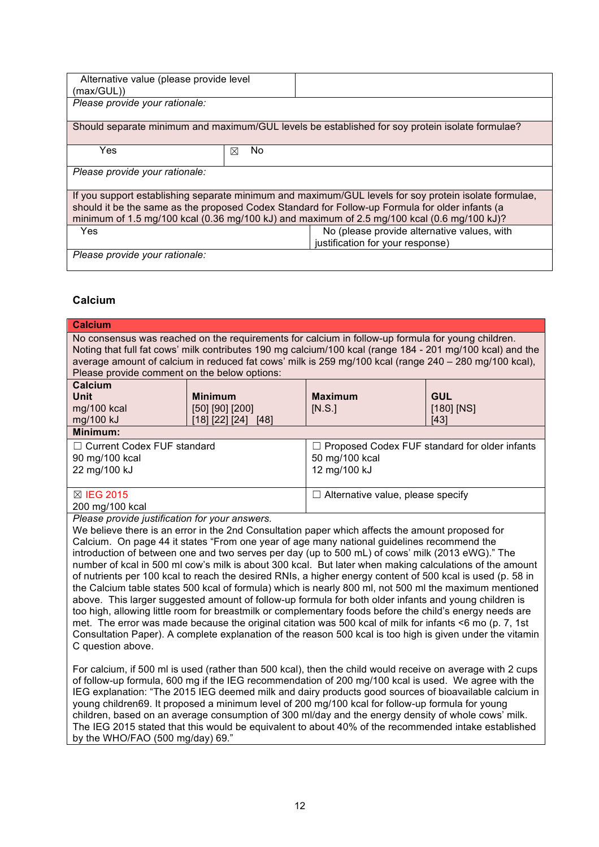| Alternative value (please provide level<br>(max/GUL))                                                                                                                                                                                                                                                   |          |                                                                                                 |
|---------------------------------------------------------------------------------------------------------------------------------------------------------------------------------------------------------------------------------------------------------------------------------------------------------|----------|-------------------------------------------------------------------------------------------------|
| Please provide your rationale:                                                                                                                                                                                                                                                                          |          |                                                                                                 |
|                                                                                                                                                                                                                                                                                                         |          | Should separate minimum and maximum/GUL levels be established for soy protein isolate formulae? |
| Yes                                                                                                                                                                                                                                                                                                     | No.<br>⊠ |                                                                                                 |
| Please provide your rationale:                                                                                                                                                                                                                                                                          |          |                                                                                                 |
| If you support establishing separate minimum and maximum/GUL levels for soy protein isolate formulae,<br>should it be the same as the proposed Codex Standard for Follow-up Formula for older infants (a<br>minimum of 1.5 mg/100 kcal (0.36 mg/100 kJ) and maximum of 2.5 mg/100 kcal (0.6 mg/100 kJ)? |          |                                                                                                 |
| <b>Yes</b>                                                                                                                                                                                                                                                                                              |          | No (please provide alternative values, with                                                     |
|                                                                                                                                                                                                                                                                                                         |          | justification for your response)                                                                |
| Please provide your rationale:                                                                                                                                                                                                                                                                          |          |                                                                                                 |

# **Calcium**

| <b>Calcium</b>                                                                                                                                                                                                                                                                                                                                                                                                                                                                                                                                                                                                                                                                                                                                                                                                                                                                                                                                                                                                                                                                                                                                            |                                                          |                                                                                   |                                      |
|-----------------------------------------------------------------------------------------------------------------------------------------------------------------------------------------------------------------------------------------------------------------------------------------------------------------------------------------------------------------------------------------------------------------------------------------------------------------------------------------------------------------------------------------------------------------------------------------------------------------------------------------------------------------------------------------------------------------------------------------------------------------------------------------------------------------------------------------------------------------------------------------------------------------------------------------------------------------------------------------------------------------------------------------------------------------------------------------------------------------------------------------------------------|----------------------------------------------------------|-----------------------------------------------------------------------------------|--------------------------------------|
| No consensus was reached on the requirements for calcium in follow-up formula for young children.<br>Noting that full fat cows' milk contributes 190 mg calcium/100 kcal (range 184 - 201 mg/100 kcal) and the<br>average amount of calcium in reduced fat cows' milk is 259 mg/100 kcal (range 240 - 280 mg/100 kcal),<br>Please provide comment on the below options:                                                                                                                                                                                                                                                                                                                                                                                                                                                                                                                                                                                                                                                                                                                                                                                   |                                                          |                                                                                   |                                      |
| <b>Calcium</b><br><b>Unit</b><br>mg/100 kcal<br>mg/100 kJ                                                                                                                                                                                                                                                                                                                                                                                                                                                                                                                                                                                                                                                                                                                                                                                                                                                                                                                                                                                                                                                                                                 | <b>Minimum</b><br>[50] [90] [200]<br>[18] [22] [24] [48] | <b>Maximum</b><br>[N.S.]                                                          | <b>GUL</b><br>$[180]$ [NS]<br>$[43]$ |
| Minimum:                                                                                                                                                                                                                                                                                                                                                                                                                                                                                                                                                                                                                                                                                                                                                                                                                                                                                                                                                                                                                                                                                                                                                  |                                                          |                                                                                   |                                      |
| □ Current Codex FUF standard<br>90 mg/100 kcal<br>22 mg/100 kJ                                                                                                                                                                                                                                                                                                                                                                                                                                                                                                                                                                                                                                                                                                                                                                                                                                                                                                                                                                                                                                                                                            |                                                          | □ Proposed Codex FUF standard for older infants<br>50 mg/100 kcal<br>12 mg/100 kJ |                                      |
| ⊠ IEG 2015<br>200 mg/100 kcal                                                                                                                                                                                                                                                                                                                                                                                                                                                                                                                                                                                                                                                                                                                                                                                                                                                                                                                                                                                                                                                                                                                             |                                                          | $\Box$ Alternative value, please specify                                          |                                      |
| Please provide justification for your answers.<br>We believe there is an error in the 2nd Consultation paper which affects the amount proposed for<br>Calcium. On page 44 it states "From one year of age many national guidelines recommend the<br>introduction of between one and two serves per day (up to 500 mL) of cows' milk (2013 eWG)." The<br>number of kcal in 500 ml cow's milk is about 300 kcal. But later when making calculations of the amount<br>of nutrients per 100 kcal to reach the desired RNIs, a higher energy content of 500 kcal is used (p. 58 in<br>the Calcium table states 500 kcal of formula) which is nearly 800 ml, not 500 ml the maximum mentioned<br>above. This larger suggested amount of follow-up formula for both older infants and young children is<br>too high, allowing little room for breastmilk or complementary foods before the child's energy needs are<br>met. The error was made because the original citation was 500 kcal of milk for infants <6 mo (p. 7, 1st<br>Consultation Paper). A complete explanation of the reason 500 kcal is too high is given under the vitamin<br>C question above. |                                                          |                                                                                   |                                      |
| For calcium, if 500 ml is used (rather than 500 kcal), then the child would receive on average with 2 cups<br>of follow-up formula, 600 mg if the IEG recommendation of 200 mg/100 kcal is used. We agree with the<br>IEG explanation: "The 2015 IEG deemed milk and dairy products good sources of bioavailable calcium in<br>young children69. It proposed a minimum level of 200 mg/100 kcal for follow-up formula for young<br>children, based on an average consumption of 300 ml/day and the energy density of whole cows' milk.<br>The IEG 2015 stated that this would be equivalent to about 40% of the recommended intake established<br>by the WHO/FAO (500 mg/day) 69."                                                                                                                                                                                                                                                                                                                                                                                                                                                                        |                                                          |                                                                                   |                                      |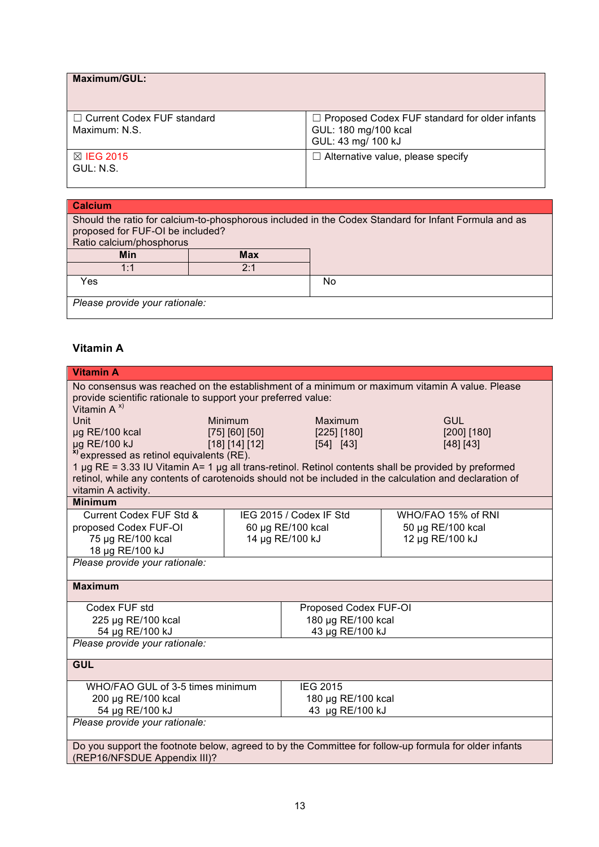| Maximum/GUL:                                  |                                                                                                    |
|-----------------------------------------------|----------------------------------------------------------------------------------------------------|
| □ Current Codex FUF standard<br>Maximum: N.S. | $\Box$ Proposed Codex FUF standard for older infants<br>GUL: 180 mg/100 kcal<br>GUL: 43 mg/ 100 kJ |
| $\boxtimes$ IEG 2015<br>GUL: N.S.             | $\Box$ Alternative value, please specify                                                           |

| <b>Calcium</b>                                                                                                                                                       |     |    |
|----------------------------------------------------------------------------------------------------------------------------------------------------------------------|-----|----|
| Should the ratio for calcium-to-phosphorous included in the Codex Standard for Infant Formula and as<br>proposed for FUF-OI be included?<br>Ratio calcium/phosphorus |     |    |
| Min                                                                                                                                                                  | Max |    |
| 1:1                                                                                                                                                                  | 2:1 |    |
| Yes                                                                                                                                                                  |     | No |
| Please provide your rationale:                                                                                                                                       |     |    |

# **Vitamin A**

| <b>Vitamin A</b>                                                                                                                                                                                                                                                        |                                        |                          |                          |  |
|-------------------------------------------------------------------------------------------------------------------------------------------------------------------------------------------------------------------------------------------------------------------------|----------------------------------------|--------------------------|--------------------------|--|
| No consensus was reached on the establishment of a minimum or maximum vitamin A value. Please                                                                                                                                                                           |                                        |                          |                          |  |
| provide scientific rationale to support your preferred value:                                                                                                                                                                                                           |                                        |                          |                          |  |
| Vitamin $A^{x}$                                                                                                                                                                                                                                                         |                                        |                          |                          |  |
| <b>Unit</b>                                                                                                                                                                                                                                                             | Minimum                                | Maximum                  | GUL                      |  |
| µg RE/100 kcal<br>µg RE/100 kJ                                                                                                                                                                                                                                          | $[75]$ $[60]$ $[50]$<br>[18] [14] [12] | [225] [180]<br>[54] [43] | [200] [180]<br>[48] [43] |  |
| <sup>x)</sup> expressed as retinol equivalents (RE).                                                                                                                                                                                                                    |                                        |                          |                          |  |
| 1 µg RE = 3.33 IU Vitamin A= 1 µg all trans-retinol. Retinol contents shall be provided by preformed                                                                                                                                                                    |                                        |                          |                          |  |
| retinol, while any contents of carotenoids should not be included in the calculation and declaration of                                                                                                                                                                 |                                        |                          |                          |  |
| vitamin A activity.                                                                                                                                                                                                                                                     |                                        |                          |                          |  |
| <b>Minimum</b>                                                                                                                                                                                                                                                          |                                        |                          |                          |  |
| Current Codex FUF Std &                                                                                                                                                                                                                                                 |                                        | IEG 2015 / Codex IF Std  | WHO/FAO 15% of RNI       |  |
| proposed Codex FUF-OI                                                                                                                                                                                                                                                   |                                        | 60 µg RE/100 kcal        | 50 µg RE/100 kcal        |  |
| 75 µg RE/100 kcal                                                                                                                                                                                                                                                       |                                        | 14 µg RE/100 kJ          | 12 µg RE/100 kJ          |  |
| 18 µg RE/100 kJ                                                                                                                                                                                                                                                         |                                        |                          |                          |  |
|                                                                                                                                                                                                                                                                         | Please provide your rationale:         |                          |                          |  |
| <b>Maximum</b>                                                                                                                                                                                                                                                          |                                        |                          |                          |  |
|                                                                                                                                                                                                                                                                         |                                        |                          |                          |  |
| Codex FUF std                                                                                                                                                                                                                                                           |                                        | Proposed Codex FUF-OI    |                          |  |
| 225 µg RE/100 kcal                                                                                                                                                                                                                                                      |                                        | 180 µg RE/100 kcal       |                          |  |
| 54 µg RE/100 kJ                                                                                                                                                                                                                                                         |                                        | 43 µg RE/100 kJ          |                          |  |
| Please provide your rationale:                                                                                                                                                                                                                                          |                                        |                          |                          |  |
|                                                                                                                                                                                                                                                                         |                                        |                          |                          |  |
|                                                                                                                                                                                                                                                                         |                                        |                          |                          |  |
| WHO/FAO GUL of 3-5 times minimum<br><b>IEG 2015</b>                                                                                                                                                                                                                     |                                        |                          |                          |  |
|                                                                                                                                                                                                                                                                         |                                        |                          |                          |  |
|                                                                                                                                                                                                                                                                         |                                        |                          |                          |  |
|                                                                                                                                                                                                                                                                         |                                        |                          |                          |  |
|                                                                                                                                                                                                                                                                         |                                        |                          |                          |  |
|                                                                                                                                                                                                                                                                         |                                        |                          |                          |  |
| <b>GUL</b><br>200 µg RE/100 kcal<br>180 µg RE/100 kcal<br>54 µg RE/100 kJ<br>43 µg RE/100 kJ<br>Please provide your rationale:<br>Do you support the footnote below, agreed to by the Committee for follow-up formula for older infants<br>(REP16/NFSDUE Appendix III)? |                                        |                          |                          |  |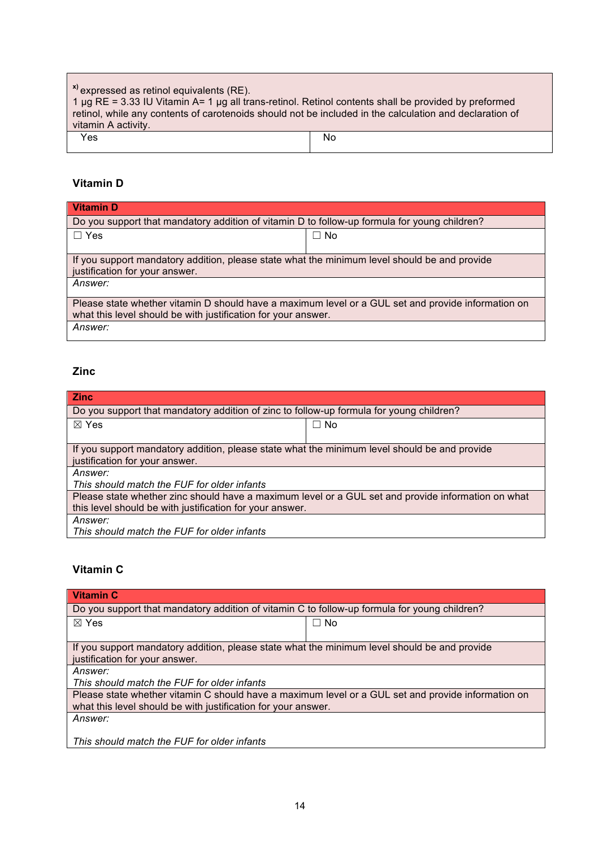| <sup>x)</sup> expressed as retinol equivalents (RE).<br>$1 \mu$ g RE = 3.33 IU Vitamin A= 1 $\mu$ g all trans-retinol. Retinol contents shall be provided by preformed<br>retinol, while any contents of carotenoids should not be included in the calculation and declaration of<br>vitamin A activity. |    |
|----------------------------------------------------------------------------------------------------------------------------------------------------------------------------------------------------------------------------------------------------------------------------------------------------------|----|
| Yes                                                                                                                                                                                                                                                                                                      | No |

# **Vitamin D**

| <b>Vitamin D</b>                                                                                                                                                    |           |  |
|---------------------------------------------------------------------------------------------------------------------------------------------------------------------|-----------|--|
| Do you support that mandatory addition of vitamin D to follow-up formula for young children?                                                                        |           |  |
| $\Box$ Yes                                                                                                                                                          | $\Box$ No |  |
|                                                                                                                                                                     |           |  |
| If you support mandatory addition, please state what the minimum level should be and provide<br>justification for your answer.                                      |           |  |
| Answer:                                                                                                                                                             |           |  |
| Please state whether vitamin D should have a maximum level or a GUL set and provide information on<br>what this level should be with justification for your answer. |           |  |
| Answer:                                                                                                                                                             |           |  |

# **Zinc**

| <b>Zinc</b>                                                                                        |           |  |  |  |  |
|----------------------------------------------------------------------------------------------------|-----------|--|--|--|--|
| Do you support that mandatory addition of zinc to follow-up formula for young children?            |           |  |  |  |  |
| $\boxtimes$ Yes                                                                                    | $\Box$ No |  |  |  |  |
|                                                                                                    |           |  |  |  |  |
| If you support mandatory addition, please state what the minimum level should be and provide       |           |  |  |  |  |
| justification for your answer.                                                                     |           |  |  |  |  |
| Answer:                                                                                            |           |  |  |  |  |
| This should match the FUF for older infants                                                        |           |  |  |  |  |
| Please state whether zinc should have a maximum level or a GUL set and provide information on what |           |  |  |  |  |
| this level should be with justification for your answer.                                           |           |  |  |  |  |
| Answer:                                                                                            |           |  |  |  |  |
| This should match the FUF for older infants                                                        |           |  |  |  |  |

# **Vitamin C**

| <b>Vitamin C</b>                                                                                   |  |  |  |  |  |
|----------------------------------------------------------------------------------------------------|--|--|--|--|--|
| Do you support that mandatory addition of vitamin C to follow-up formula for young children?       |  |  |  |  |  |
| $\boxtimes$ Yes<br>$\Box$ No                                                                       |  |  |  |  |  |
|                                                                                                    |  |  |  |  |  |
| If you support mandatory addition, please state what the minimum level should be and provide       |  |  |  |  |  |
| justification for your answer.                                                                     |  |  |  |  |  |
| Answer:                                                                                            |  |  |  |  |  |
| This should match the FUF for older infants                                                        |  |  |  |  |  |
| Please state whether vitamin C should have a maximum level or a GUL set and provide information on |  |  |  |  |  |
| what this level should be with justification for your answer.                                      |  |  |  |  |  |
| Answer:                                                                                            |  |  |  |  |  |
|                                                                                                    |  |  |  |  |  |
| This should match the FUF for older infants                                                        |  |  |  |  |  |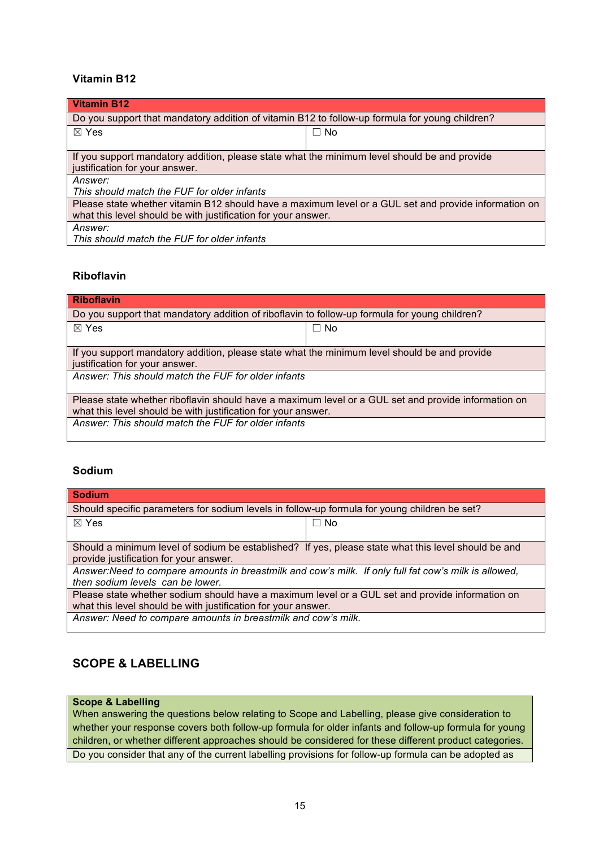## **Vitamin B12**

| Vitamin B12                                                                                          |           |  |  |  |  |
|------------------------------------------------------------------------------------------------------|-----------|--|--|--|--|
| Do you support that mandatory addition of vitamin B12 to follow-up formula for young children?       |           |  |  |  |  |
| $\boxtimes$ Yes                                                                                      | $\Box$ No |  |  |  |  |
|                                                                                                      |           |  |  |  |  |
| If you support mandatory addition, please state what the minimum level should be and provide         |           |  |  |  |  |
| justification for your answer.                                                                       |           |  |  |  |  |
| Answer:                                                                                              |           |  |  |  |  |
| This should match the FUF for older infants                                                          |           |  |  |  |  |
| Please state whether vitamin B12 should have a maximum level or a GUL set and provide information on |           |  |  |  |  |
| what this level should be with justification for your answer.                                        |           |  |  |  |  |
| Answer:                                                                                              |           |  |  |  |  |
| This should match the FUF for older infants                                                          |           |  |  |  |  |

## **Riboflavin**

| <b>Riboflavin</b>                                                                                   |           |  |  |  |  |
|-----------------------------------------------------------------------------------------------------|-----------|--|--|--|--|
| Do you support that mandatory addition of riboflavin to follow-up formula for young children?       |           |  |  |  |  |
| $\boxtimes$ Yes                                                                                     | $\Box$ No |  |  |  |  |
|                                                                                                     |           |  |  |  |  |
| If you support mandatory addition, please state what the minimum level should be and provide        |           |  |  |  |  |
| justification for your answer.                                                                      |           |  |  |  |  |
| Answer: This should match the FUF for older infants                                                 |           |  |  |  |  |
| Please state whether riboflavin should have a maximum level or a GUL set and provide information on |           |  |  |  |  |
| what this level should be with justification for your answer.                                       |           |  |  |  |  |
| Answer: This should match the FUF for older infants                                                 |           |  |  |  |  |
|                                                                                                     |           |  |  |  |  |

## **Sodium**

| <b>Sodium</b>                                                                                         |           |  |  |  |  |
|-------------------------------------------------------------------------------------------------------|-----------|--|--|--|--|
| Should specific parameters for sodium levels in follow-up formula for young children be set?          |           |  |  |  |  |
| $\boxtimes$ Yes                                                                                       | $\Box$ No |  |  |  |  |
|                                                                                                       |           |  |  |  |  |
| Should a minimum level of sodium be established? If yes, please state what this level should be and   |           |  |  |  |  |
| provide justification for your answer.                                                                |           |  |  |  |  |
| Answer: Need to compare amounts in breastmilk and cow's milk. If only full fat cow's milk is allowed, |           |  |  |  |  |
| then sodium levels can be lower.                                                                      |           |  |  |  |  |
| Please state whether sodium should have a maximum level or a GUL set and provide information on       |           |  |  |  |  |
| what this level should be with justification for your answer.                                         |           |  |  |  |  |
| Answer: Need to compare amounts in breastmilk and cow's milk.                                         |           |  |  |  |  |

# **SCOPE & LABELLING**

### **Scope & Labelling**

When answering the questions below relating to Scope and Labelling, please give consideration to whether your response covers both follow-up formula for older infants and follow-up formula for young children, or whether different approaches should be considered for these different product categories. Do you consider that any of the current labelling provisions for follow-up formula can be adopted as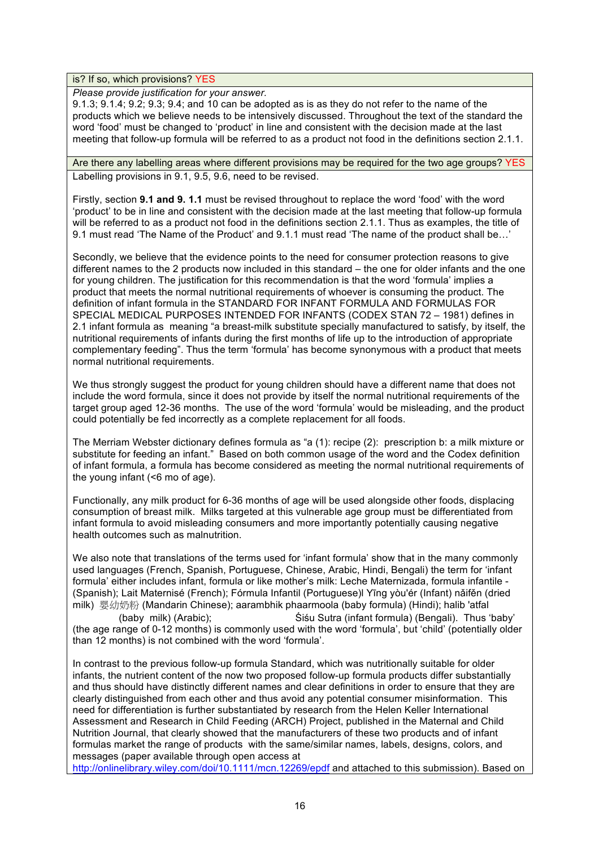is? If so, which provisions? YES

*Please provide justification for your answer.*

9.1.3; 9.1.4; 9.2; 9.3; 9.4; and 10 can be adopted as is as they do not refer to the name of the products which we believe needs to be intensively discussed. Throughout the text of the standard the word 'food' must be changed to 'product' in line and consistent with the decision made at the last meeting that follow-up formula will be referred to as a product not food in the definitions section 2.1.1.

Are there any labelling areas where different provisions may be required for the two age groups? YES Labelling provisions in 9.1, 9.5, 9.6, need to be revised.

Firstly, section **9.1 and 9. 1.1** must be revised throughout to replace the word 'food' with the word 'product' to be in line and consistent with the decision made at the last meeting that follow-up formula will be referred to as a product not food in the definitions section 2.1.1. Thus as examples, the title of 9.1 must read 'The Name of the Product' and 9.1.1 must read 'The name of the product shall be…'

Secondly, we believe that the evidence points to the need for consumer protection reasons to give different names to the 2 products now included in this standard – the one for older infants and the one for young children. The justification for this recommendation is that the word 'formula' implies a product that meets the normal nutritional requirements of whoever is consuming the product. The definition of infant formula in the STANDARD FOR INFANT FORMULA AND FORMULAS FOR SPECIAL MEDICAL PURPOSES INTENDED FOR INFANTS (CODEX STAN 72 – 1981) defines in 2.1 infant formula as meaning "a breast-milk substitute specially manufactured to satisfy, by itself, the nutritional requirements of infants during the first months of life up to the introduction of appropriate complementary feeding". Thus the term 'formula' has become synonymous with a product that meets normal nutritional requirements.

We thus strongly suggest the product for young children should have a different name that does not include the word formula, since it does not provide by itself the normal nutritional requirements of the target group aged 12-36 months. The use of the word 'formula' would be misleading, and the product could potentially be fed incorrectly as a complete replacement for all foods.

The Merriam Webster dictionary defines formula as "a (1): recipe (2): prescription b: a milk mixture or substitute for feeding an infant." Based on both common usage of the word and the Codex definition of infant formula, a formula has become considered as meeting the normal nutritional requirements of the young infant (<6 mo of age).

Functionally, any milk product for 6-36 months of age will be used alongside other foods, displacing consumption of breast milk. Milks targeted at this vulnerable age group must be differentiated from infant formula to avoid misleading consumers and more importantly potentially causing negative health outcomes such as malnutrition.

We also note that translations of the terms used for 'infant formula' show that in the many commonly used languages (French, Spanish, Portuguese, Chinese, Arabic, Hindi, Bengali) the term for 'infant formula' either includes infant, formula or like mother's milk: Leche Maternizada, formula infantile - (Spanish); Lait Maternisé (French); Fórmula Infantil (Portuguese)l Yīng yòu'ér (Infant) nǎifěn (dried milk) 婴幼奶粉 (Mandarin Chinese); aarambhik phaarmoola (baby formula) (Hindi); halib 'atfal

 (baby milk) (Arabic); Śiśu Sutra (infant formula) (Bengali). Thus 'baby' (the age range of 0-12 months) is commonly used with the word 'formula', but 'child' (potentially older than 12 months) is not combined with the word 'formula'.

In contrast to the previous follow-up formula Standard, which was nutritionally suitable for older infants, the nutrient content of the now two proposed follow-up formula products differ substantially and thus should have distinctly different names and clear definitions in order to ensure that they are clearly distinguished from each other and thus avoid any potential consumer misinformation. This need for differentiation is further substantiated by research from the Helen Keller International Assessment and Research in Child Feeding (ARCH) Project, published in the Maternal and Child Nutrition Journal, that clearly showed that the manufacturers of these two products and of infant formulas market the range of products with the same/similar names, labels, designs, colors, and messages (paper available through open access at

<http://onlinelibrary.wiley.com/doi/10.1111/mcn.12269/epdf> and attached to this submission). Based on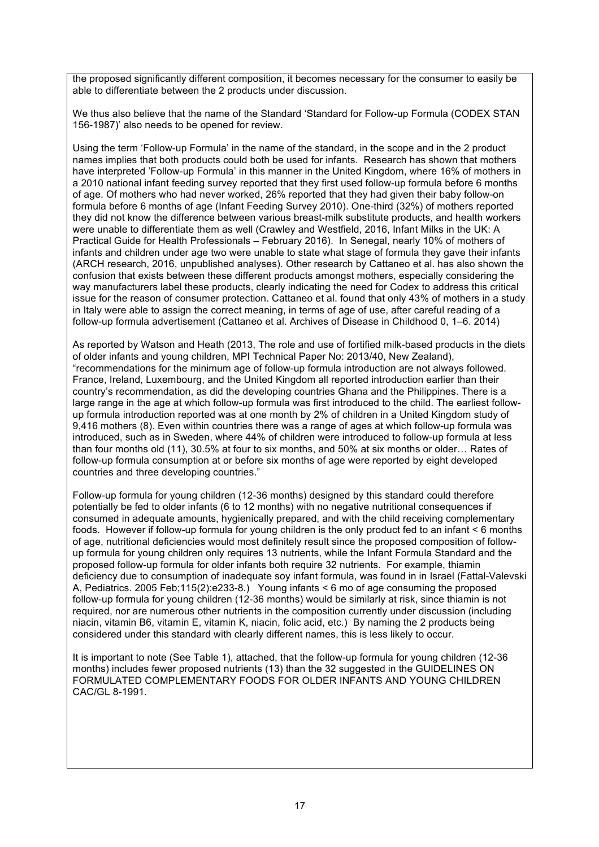the proposed significantly different composition, it becomes necessary for the consumer to easily be able to differentiate between the 2 products under discussion.

We thus also believe that the name of the Standard 'Standard for Follow-up Formula (CODEX STAN 156-1987)' also needs to be opened for review.

Using the term 'Follow-up Formula' in the name of the standard, in the scope and in the 2 product names implies that both products could both be used for infants. Research has shown that mothers have interpreted 'Follow-up Formula' in this manner in the United Kingdom, where 16% of mothers in a 2010 national infant feeding survey reported that they first used follow-up formula before 6 months of age. Of mothers who had never worked, 26% reported that they had given their baby follow-on formula before 6 months of age (Infant Feeding Survey 2010). One-third (32%) of mothers reported they did not know the difference between various breast-milk substitute products, and health workers were unable to differentiate them as well (Crawley and Westfield, 2016, Infant Milks in the UK: A Practical Guide for Health Professionals – February 2016). In Senegal, nearly 10% of mothers of infants and children under age two were unable to state what stage of formula they gave their infants (ARCH research, 2016, unpublished analyses). Other research by Cattaneo et al. has also shown the confusion that exists between these different products amongst mothers, especially considering the way manufacturers label these products, clearly indicating the need for Codex to address this critical issue for the reason of consumer protection. Cattaneo et al. found that only 43% of mothers in a study in Italy were able to assign the correct meaning, in terms of age of use, after careful reading of a follow-up formula advertisement (Cattaneo et al. Archives of Disease in Childhood 0, 1–6. 2014)

As reported by Watson and Heath (2013, The role and use of fortified milk-based products in the diets of older infants and young children, MPI Technical Paper No: 2013/40, New Zealand), "recommendations for the minimum age of follow-up formula introduction are not always followed. France, Ireland, Luxembourg, and the United Kingdom all reported introduction earlier than their country's recommendation, as did the developing countries Ghana and the Philippines. There is a large range in the age at which follow-up formula was first introduced to the child. The earliest followup formula introduction reported was at one month by 2% of children in a United Kingdom study of 9,416 mothers (8). Even within countries there was a range of ages at which follow-up formula was introduced, such as in Sweden, where 44% of children were introduced to follow-up formula at less than four months old (11), 30.5% at four to six months, and 50% at six months or older… Rates of follow-up formula consumption at or before six months of age were reported by eight developed countries and three developing countries."

Follow-up formula for young children (12-36 months) designed by this standard could therefore potentially be fed to older infants (6 to 12 months) with no negative nutritional consequences if consumed in adequate amounts, hygienically prepared, and with the child receiving complementary foods. However if follow-up formula for young children is the only product fed to an infant < 6 months of age, nutritional deficiencies would most definitely result since the proposed composition of followup formula for young children only requires 13 nutrients, while the Infant Formula Standard and the proposed follow-up formula for older infants both require 32 nutrients. For example, thiamin deficiency due to consumption of inadequate soy infant formula, was found in in Israel (Fattal-Valevski A, Pediatrics. 2005 Feb;115(2):e233-8.) Young infants < 6 mo of age consuming the proposed follow-up formula for young children (12-36 months) would be similarly at risk, since thiamin is not required, nor are numerous other nutrients in the composition currently under discussion (including niacin, vitamin B6, vitamin E, vitamin K, niacin, folic acid, etc.) By naming the 2 products being considered under this standard with clearly different names, this is less likely to occur.

It is important to note (See Table 1), attached, that the follow-up formula for young children (12-36 months) includes fewer proposed nutrients (13) than the 32 suggested in the GUIDELINES ON FORMULATED COMPLEMENTARY FOODS FOR OLDER INFANTS AND YOUNG CHILDREN CAC/GL 8-1991.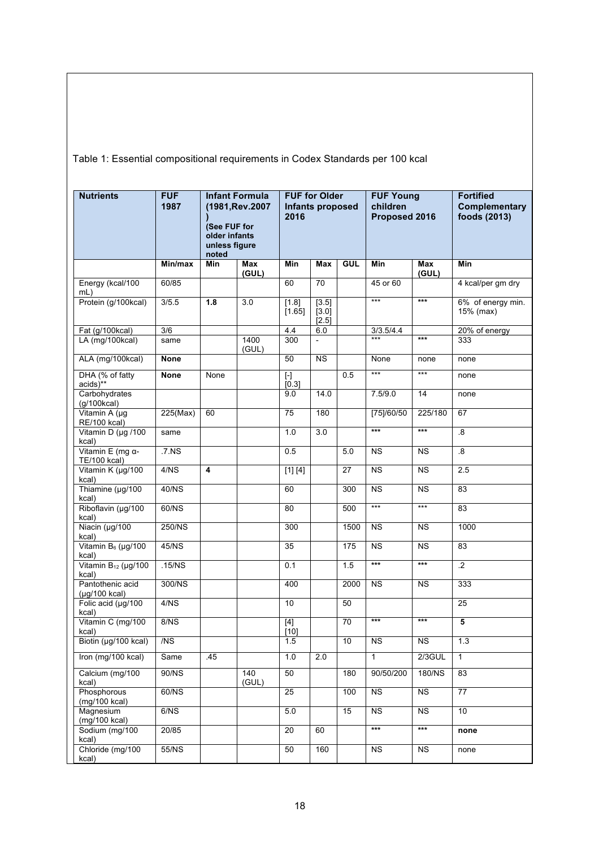Table 1: Essential compositional requirements in Codex Standards per 100 kcal

| <b>Nutrients</b>                         | <b>FUF</b><br>1987 | (See FUF for<br>older infants<br>unless figure<br>noted | <b>Infant Formula</b><br>(1981, Rev. 2007 | <b>FUF for Older</b><br>Infants proposed<br>2016 |                          |                  | <b>FUF Young</b><br>children<br>Proposed 2016 |                        | <b>Fortified</b><br><b>Complementary</b><br>foods (2013) |  |
|------------------------------------------|--------------------|---------------------------------------------------------|-------------------------------------------|--------------------------------------------------|--------------------------|------------------|-----------------------------------------------|------------------------|----------------------------------------------------------|--|
|                                          | Min/max            | Min                                                     | Max<br>(GUL)                              | <b>Min</b>                                       | Max                      | <b>GUL</b>       | <b>Min</b>                                    | Max<br>(GUL)           | <b>Min</b>                                               |  |
| Energy (kcal/100<br>$mL$ )               | 60/85              |                                                         |                                           | 60                                               | 70                       |                  | 45 or 60                                      |                        | 4 kcal/per gm dry                                        |  |
| Protein (g/100kcal)                      | 3/5.5              | 1.8                                                     | 3.0                                       | $[1.8]$<br>[1.65]                                | [3.5]<br>[3.0]<br>[2.5]  |                  | $***$                                         | $***$                  | 6% of energy min.<br>15% (max)                           |  |
| Fat (g/100kcal)                          | 3/6                |                                                         |                                           | 4.4                                              | 6.0                      |                  | 3/3.5/4.4                                     |                        | 20% of energy                                            |  |
| LA (mg/100kcal)                          | same               |                                                         | 1400<br>(GUL)                             | 300                                              | $\overline{\phantom{a}}$ |                  | $***$                                         | $***$                  | 333                                                      |  |
| ALA (mg/100kcal)                         | <b>None</b>        |                                                         |                                           | 50                                               | <b>NS</b>                |                  | None                                          | none                   | none                                                     |  |
| DHA (% of fatty<br>acids)**              | <b>None</b>        | None                                                    |                                           | $[\cdot]$<br>[0.3]                               |                          | 0.5              | $***$                                         | $***$                  | none                                                     |  |
| Carbohydrates<br>(g/100kcal)             |                    |                                                         |                                           | 9.0                                              | 14.0                     |                  | 7.5/9.0                                       | 14                     | none                                                     |  |
| Vitamin A (µg<br>RE/100 kcal)            | 225(Max)           | 60                                                      |                                           | $\overline{75}$                                  | 180                      |                  | [75]/60/50                                    | 225/180                | 67                                                       |  |
| Vitamin D (µg /100<br>kcal)              | same               |                                                         |                                           | 1.0                                              | 3.0                      |                  | $***$                                         | $***$                  | .8                                                       |  |
| Vitamin E (mg $\alpha$ -<br>TE/100 kcal) | .7 <sub>N</sub>    |                                                         |                                           | 0.5                                              |                          | 5.0              | $\overline{\text{NS}}$                        | <b>NS</b>              | $\boldsymbol{.8}$                                        |  |
| Vitamin K (µg/100<br>kcal)               | 4/NS               | $\overline{4}$                                          |                                           | [1] [4]                                          |                          | 27               | $\overline{\text{NS}}$                        | <b>NS</b>              | 2.5                                                      |  |
| Thiamine (µg/100<br>kcal)                | 40/NS              |                                                         |                                           | 60                                               |                          | $\overline{3}00$ | <b>NS</b>                                     | <b>NS</b>              | 83                                                       |  |
| Riboflavin (µg/100<br>kcal)              | 60/NS              |                                                         |                                           | 80                                               |                          | 500              | $***$                                         | $***$                  | $\overline{83}$                                          |  |
| Niacin (µg/100<br>kcal)                  | 250/NS             |                                                         |                                           | 300                                              |                          | 1500             | <b>NS</b>                                     | <b>NS</b>              | 1000                                                     |  |
| Vitamin B <sub>6</sub> (µg/100<br>kcal)  | 45/NS              |                                                         |                                           | 35                                               |                          | 175              | <b>NS</b>                                     | <b>NS</b>              | 83                                                       |  |
| Vitamin $B_{12}$ (µg/100<br>kcal)        | .15/NS             |                                                         |                                           | 0.1                                              |                          | 1.5              | $***$                                         | $***$                  | $\overline{.2}$                                          |  |
| Pantothenic acid<br>(µg/100 kcal)        | 300/NS             |                                                         |                                           | 400                                              |                          | 2000             | <b>NS</b>                                     | <b>NS</b>              | 333                                                      |  |
| Folic acid (µg/100<br>kcal)              | 4/NS               |                                                         |                                           | 10                                               |                          | 50               |                                               |                        | 25                                                       |  |
| Vitamin C (mg/100<br>kcal)               | 8/NS               |                                                         |                                           | $[4]$<br>$[10]$                                  |                          | 70               | $***$                                         | $***$                  | 5                                                        |  |
| Biotin (µg/100 kcal)                     | /NS                |                                                         |                                           | 1.5                                              |                          | $10$             | <b>NS</b>                                     | <b>NS</b>              | 1.3                                                      |  |
| Iron (mg/100 kcal)                       | Same               | .45                                                     |                                           | 1.0                                              | 2.0                      |                  | $\mathbf{1}$                                  | $2/3$ GUL              | $\mathbf{1}$                                             |  |
| Calcium (mg/100<br>kcal)                 | 90/NS              |                                                         | 140<br>(GUL)                              | 50                                               |                          | 180              | 90/50/200                                     | 180/NS                 | 83                                                       |  |
| Phosphorous<br>(mg/100 kcal)             | 60/NS              |                                                         |                                           | 25                                               |                          | 100              | $\overline{\text{NS}}$                        | $\overline{\text{NS}}$ | 77                                                       |  |
| Magnesium<br>$(mg/100$ kcal)             | 6/NS               |                                                         |                                           | 5.0                                              |                          | 15               | <b>NS</b>                                     | <b>NS</b>              | 10                                                       |  |
| Sodium (mg/100<br>kcal)                  | 20/85              |                                                         |                                           | 20                                               | 60                       |                  | $***$                                         | $***$                  | none                                                     |  |
| Chloride (mg/100<br>kcal)                | 55/NS              |                                                         |                                           | 50                                               | 160                      |                  | <b>NS</b>                                     | <b>NS</b>              | none                                                     |  |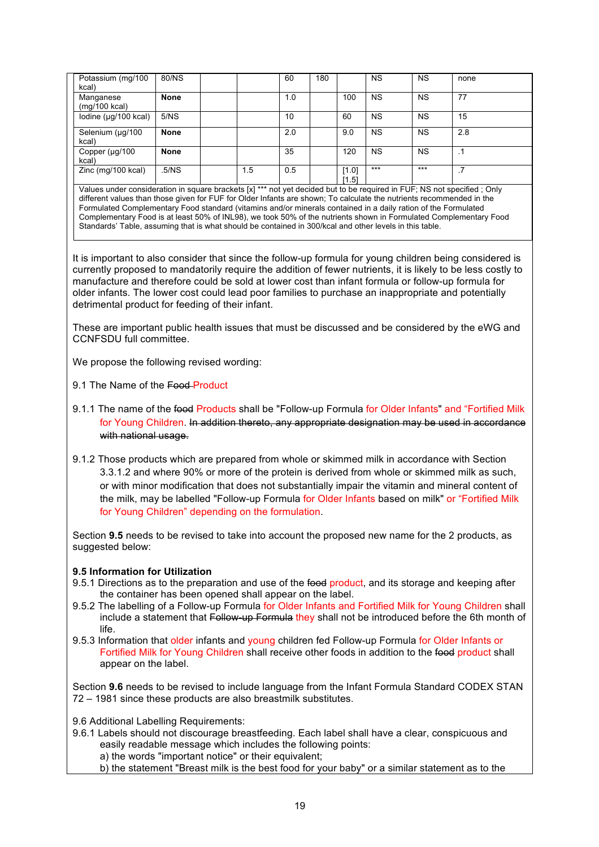| Potassium (mg/100<br>kcal)   | 80/NS       |     | 60  | 180 |                | <b>NS</b> | <b>NS</b> | none |  |
|------------------------------|-------------|-----|-----|-----|----------------|-----------|-----------|------|--|
| Manganese<br>$(mg/100$ kcal) | <b>None</b> |     | 1.0 |     | 100            | <b>NS</b> | <b>NS</b> | 77   |  |
| lodine (µg/100 kcal)         | 5/NS        |     | 10  |     | 60             | <b>NS</b> | <b>NS</b> | 15   |  |
| Selenium (µg/100<br>kcal)    | <b>None</b> |     | 2.0 |     | 9.0            | <b>NS</b> | <b>NS</b> | 2.8  |  |
| Copper (µg/100<br>kcal)      | <b>None</b> |     | 35  |     | 120            | <b>NS</b> | <b>NS</b> | . 1  |  |
| Zinc (mg/100 kcal)           | .5/NS       | 1.5 | 0.5 |     | [1.0]<br>[1.5] | $***$     | $***$     |      |  |

Values under consideration in square brackets [x] \*\*\* not yet decided but to be required in FUF; NS not specified ; Only different values than those given for FUF for Older Infants are shown; To calculate the nutrients recommended in the Formulated Complementary Food standard (vitamins and/or minerals contained in a daily ration of the Formulated Complementary Food is at least 50% of INL98), we took 50% of the nutrients shown in Formulated Complementary Food Standards' Table, assuming that is what should be contained in 300/kcal and other levels in this table.

It is important to also consider that since the follow-up formula for young children being considered is currently proposed to mandatorily require the addition of fewer nutrients, it is likely to be less costly to manufacture and therefore could be sold at lower cost than infant formula or follow-up formula for older infants. The lower cost could lead poor families to purchase an inappropriate and potentially detrimental product for feeding of their infant.

These are important public health issues that must be discussed and be considered by the eWG and CCNFSDU full committee.

We propose the following revised wording:

- 9.1 The Name of the Food Product
- 9.1.1 The name of the food Products shall be "Follow-up Formula for Older Infants" and "Fortified Milk for Young Children. In addition thereto, any appropriate designation may be used in accordance with national usage.
- 9.1.2 Those products which are prepared from whole or skimmed milk in accordance with Section 3.3.1.2 and where 90% or more of the protein is derived from whole or skimmed milk as such, or with minor modification that does not substantially impair the vitamin and mineral content of the milk, may be labelled "Follow-up Formula for Older Infants based on milk" or "Fortified Milk for Young Children" depending on the formulation.

Section **9.5** needs to be revised to take into account the proposed new name for the 2 products, as suggested below:

### **9.5 Information for Utilization**

- 9.5.1 Directions as to the preparation and use of the food product, and its storage and keeping after the container has been opened shall appear on the label.
- 9.5.2 The labelling of a Follow-up Formula for Older Infants and Fortified Milk for Young Children shall include a statement that Follow-up Formula they shall not be introduced before the 6th month of life.
- 9.5.3 Information that older infants and young children fed Follow-up Formula for Older Infants or Fortified Milk for Young Children shall receive other foods in addition to the food product shall appear on the label.

Section **9.6** needs to be revised to include language from the Infant Formula Standard CODEX STAN 72 – 1981 since these products are also breastmilk substitutes.

9.6 Additional Labelling Requirements:

9.6.1 Labels should not discourage breastfeeding. Each label shall have a clear, conspicuous and easily readable message which includes the following points:

a) the words "important notice" or their equivalent;

b) the statement "Breast milk is the best food for your baby" or a similar statement as to the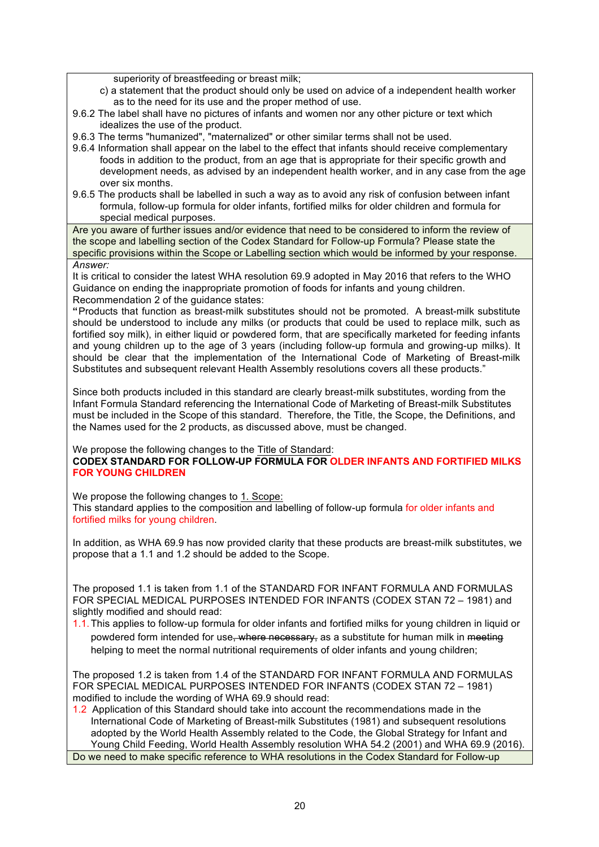superiority of breastfeeding or breast milk;

- c) a statement that the product should only be used on advice of a independent health worker as to the need for its use and the proper method of use.
- 9.6.2 The label shall have no pictures of infants and women nor any other picture or text which idealizes the use of the product.
- 9.6.3 The terms "humanized", "maternalized" or other similar terms shall not be used.
- 9.6.4 Information shall appear on the label to the effect that infants should receive complementary foods in addition to the product, from an age that is appropriate for their specific growth and development needs, as advised by an independent health worker, and in any case from the age over six months.
- 9.6.5 The products shall be labelled in such a way as to avoid any risk of confusion between infant formula, follow-up formula for older infants, fortified milks for older children and formula for special medical purposes.

Are you aware of further issues and/or evidence that need to be considered to inform the review of the scope and labelling section of the Codex Standard for Follow-up Formula? Please state the specific provisions within the Scope or Labelling section which would be informed by your response. *Answer:*

It is critical to consider the latest WHA resolution 69.9 adopted in May 2016 that refers to the WHO Guidance on ending the inappropriate promotion of foods for infants and young children. Recommendation 2 of the guidance states:

**"**Products that function as breast-milk substitutes should not be promoted. A breast-milk substitute should be understood to include any milks (or products that could be used to replace milk, such as fortified soy milk), in either liquid or powdered form, that are specifically marketed for feeding infants and young children up to the age of 3 years (including follow-up formula and growing-up milks). It should be clear that the implementation of the International Code of Marketing of Breast-milk Substitutes and subsequent relevant Health Assembly resolutions covers all these products."

Since both products included in this standard are clearly breast-milk substitutes, wording from the Infant Formula Standard referencing the International Code of Marketing of Breast-milk Substitutes must be included in the Scope of this standard. Therefore, the Title, the Scope, the Definitions, and the Names used for the 2 products, as discussed above, must be changed.

We propose the following changes to the Title of Standard:

**CODEX STANDARD FOR FOLLOW-UP FORMULA FOR OLDER INFANTS AND FORTIFIED MILKS FOR YOUNG CHILDREN**

We propose the following changes to 1. Scope:

This standard applies to the composition and labelling of follow-up formula for older infants and fortified milks for young children.

In addition, as WHA 69.9 has now provided clarity that these products are breast-milk substitutes, we propose that a 1.1 and 1.2 should be added to the Scope.

The proposed 1.1 is taken from 1.1 of the STANDARD FOR INFANT FORMULA AND FORMULAS FOR SPECIAL MEDICAL PURPOSES INTENDED FOR INFANTS (CODEX STAN 72 – 1981) and slightly modified and should read:

1.1.This applies to follow-up formula for older infants and fortified milks for young children in liquid or powdered form intended for use, where necessary, as a substitute for human milk in meeting helping to meet the normal nutritional requirements of older infants and young children;

The proposed 1.2 is taken from 1.4 of the STANDARD FOR INFANT FORMULA AND FORMULAS FOR SPECIAL MEDICAL PURPOSES INTENDED FOR INFANTS (CODEX STAN 72 – 1981) modified to include the wording of WHA 69.9 should read:

1.2 Application of this Standard should take into account the recommendations made in the International Code of Marketing of Breast-milk Substitutes (1981) and subsequent resolutions adopted by the World Health Assembly related to the Code, the Global Strategy for Infant and Young Child Feeding, World Health Assembly resolution WHA 54.2 (2001) and WHA 69.9 (2016). Do we need to make specific reference to WHA resolutions in the Codex Standard for Follow-up

20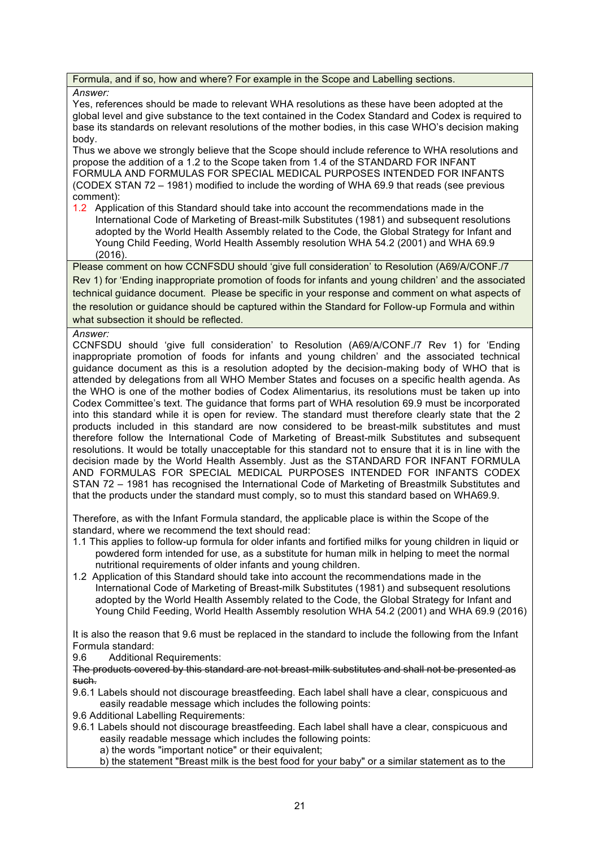Formula, and if so, how and where? For example in the Scope and Labelling sections.

#### *Answer:*

Yes, references should be made to relevant WHA resolutions as these have been adopted at the global level and give substance to the text contained in the Codex Standard and Codex is required to base its standards on relevant resolutions of the mother bodies, in this case WHO's decision making body.

Thus we above we strongly believe that the Scope should include reference to WHA resolutions and propose the addition of a 1.2 to the Scope taken from 1.4 of the STANDARD FOR INFANT FORMULA AND FORMULAS FOR SPECIAL MEDICAL PURPOSES INTENDED FOR INFANTS (CODEX STAN 72 – 1981) modified to include the wording of WHA 69.9 that reads (see previous comment):

1.2 Application of this Standard should take into account the recommendations made in the International Code of Marketing of Breast-milk Substitutes (1981) and subsequent resolutions adopted by the World Health Assembly related to the Code, the Global Strategy for Infant and Young Child Feeding, World Health Assembly resolution WHA 54.2 (2001) and WHA 69.9 (2016).

Please comment on how CCNFSDU should 'give full consideration' to Resolution (A69/A/CONF./7 Rev 1) for 'Ending inappropriate promotion of foods for infants and young children' and the associated technical guidance document. Please be specific in your response and comment on what aspects of the resolution or guidance should be captured within the Standard for Follow-up Formula and within what subsection it should be reflected.

#### *Answer:*

CCNFSDU should 'give full consideration' to Resolution (A69/A/CONF./7 Rev 1) for 'Ending inappropriate promotion of foods for infants and young children' and the associated technical guidance document as this is a resolution adopted by the decision-making body of WHO that is attended by delegations from all WHO Member States and focuses on a specific health agenda. As the WHO is one of the mother bodies of Codex Alimentarius, its resolutions must be taken up into Codex Committee's text. The guidance that forms part of WHA resolution 69.9 must be incorporated into this standard while it is open for review. The standard must therefore clearly state that the 2 products included in this standard are now considered to be breast-milk substitutes and must therefore follow the International Code of Marketing of Breast-milk Substitutes and subsequent resolutions. It would be totally unacceptable for this standard not to ensure that it is in line with the decision made by the World Health Assembly. Just as the STANDARD FOR INFANT FORMULA AND FORMULAS FOR SPECIAL MEDICAL PURPOSES INTENDED FOR INFANTS CODEX STAN 72 – 1981 has recognised the International Code of Marketing of Breastmilk Substitutes and that the products under the standard must comply, so to must this standard based on WHA69.9.

Therefore, as with the Infant Formula standard, the applicable place is within the Scope of the standard, where we recommend the text should read:

- 1.1 This applies to follow-up formula for older infants and fortified milks for young children in liquid or powdered form intended for use, as a substitute for human milk in helping to meet the normal nutritional requirements of older infants and young children.
- 1.2 Application of this Standard should take into account the recommendations made in the International Code of Marketing of Breast-milk Substitutes (1981) and subsequent resolutions adopted by the World Health Assembly related to the Code, the Global Strategy for Infant and Young Child Feeding, World Health Assembly resolution WHA 54.2 (2001) and WHA 69.9 (2016)

It is also the reason that 9.6 must be replaced in the standard to include the following from the Infant Formula standard:

9.6 Additional Requirements:

The products covered by this standard are not breast-milk substitutes and shall not be presented as such.

- 9.6.1 Labels should not discourage breastfeeding. Each label shall have a clear, conspicuous and easily readable message which includes the following points:
- 9.6 Additional Labelling Requirements:
- 9.6.1 Labels should not discourage breastfeeding. Each label shall have a clear, conspicuous and easily readable message which includes the following points:
	- a) the words "important notice" or their equivalent;
	- b) the statement "Breast milk is the best food for your baby" or a similar statement as to the